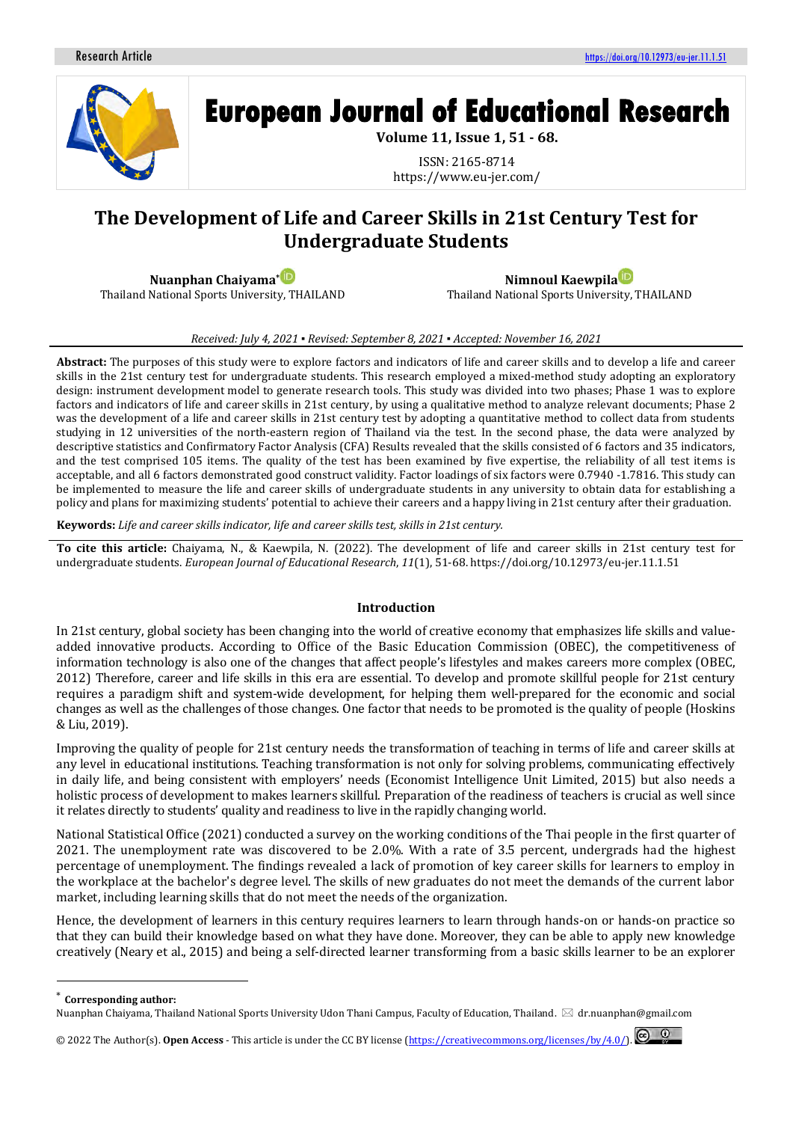

# **European Journal of Educational Research**

**Volume 11, Issue 1, 51 - 68.**

ISSN: 2165-8714 https://www.eu-jer.com/

# **The Development of Life and Career Skills in 21st Century Test for Undergraduate Students**

**Nuanphan Chaiyama[\\*](https://orcid.org/0000-0003-2511-1148)** Thailand National Sports University, THAILAND

**Nimnoul Kaewpil[a](https://orcid.org/0000-0001-8572-8655)** Thailand National Sports University, THAILAND

#### *Received: July 4, 2021 ▪ Revised: September 8, 2021 ▪ Accepted: November 16, 2021*

**Abstract:** The purposes of this study were to explore factors and indicators of life and career skills and to develop a life and career skills in the 21st century test for undergraduate students. This research employed a mixed-method study adopting an exploratory design: instrument development model to generate research tools. This study was divided into two phases; Phase 1 was to explore factors and indicators of life and career skills in 21st century, by using a qualitative method to analyze relevant documents; Phase 2 was the development of a life and career skills in 21st century test by adopting a quantitative method to collect data from students studying in 12 universities of the north-eastern region of Thailand via the test. In the second phase, the data were analyzed by descriptive statistics and Confirmatory Factor Analysis (CFA) Results revealed that the skills consisted of 6 factors and 35 indicators, and the test comprised 105 items. The quality of the test has been examined by five expertise, the reliability of all test items is acceptable, and all 6 factors demonstrated good construct validity. Factor loadings of six factors were 0.7940 -1.7816. This study can be implemented to measure the life and career skills of undergraduate students in any university to obtain data for establishing a policy and plans for maximizing students' potential to achieve their careers and a happy living in 21st century after their graduation.

**Keywords:** *Life and career skills indicator, life and career skills test, skills in 21st century.*

**To cite this article:** Chaiyama, N., & Kaewpila, N. (2022). The development of life and career skills in 21st century test for undergraduate students. *European Journal of Educational Research*, *11*(1), 51-68. https://doi.org/10.12973/eu-jer.11.1.51

#### **Introduction**

In 21st century, global society has been changing into the world of creative economy that emphasizes life skills and valueadded innovative products. According to Office of the Basic Education Commission (OBEC), the competitiveness of information technology is also one of the changes that affect people's lifestyles and makes careers more complex (OBEC, 2012) Therefore, career and life skills in this era are essential. To develop and promote skillful people for 21st century requires a paradigm shift and system-wide development, for helping them well-prepared for the economic and social changes as well as the challenges of those changes. One factor that needs to be promoted is the quality of people (Hoskins & Liu, 2019).

Improving the quality of people for 21st century needs the transformation of teaching in terms of life and career skills at any level in educational institutions. Teaching transformation is not only for solving problems, communicating effectively in daily life, and being consistent with employers' needs (Economist Intelligence Unit Limited, 2015) but also needs a holistic process of development to makes learners skillful. Preparation of the readiness of teachers is crucial as well since it relates directly to students' quality and readiness to live in the rapidly changing world.

National Statistical Office (2021) conducted a survey on the working conditions of the Thai people in the first quarter of 2021. The unemployment rate was discovered to be 2.0%. With a rate of 3.5 percent, undergrads had the highest percentage of unemployment. The findings revealed a lack of promotion of key career skills for learners to employ in the workplace at the bachelor's degree level. The skills of new graduates do not meet the demands of the current labor market, including learning skills that do not meet the needs of the organization.

Hence, the development of learners in this century requires learners to learn through hands-on or hands-on practice so that they can build their knowledge based on what they have done. Moreover, they can be able to apply new knowledge creatively (Neary et al., 2015) and being a self-directed learner transforming from a basic skills learner to be an explorer

**Corresponding author:** 

Nuanphan Chaiyama, Thailand National Sports University Udon Thani Campus, Faculty of Education, Thailand. **<a>** dr.nuanphan@gmail.com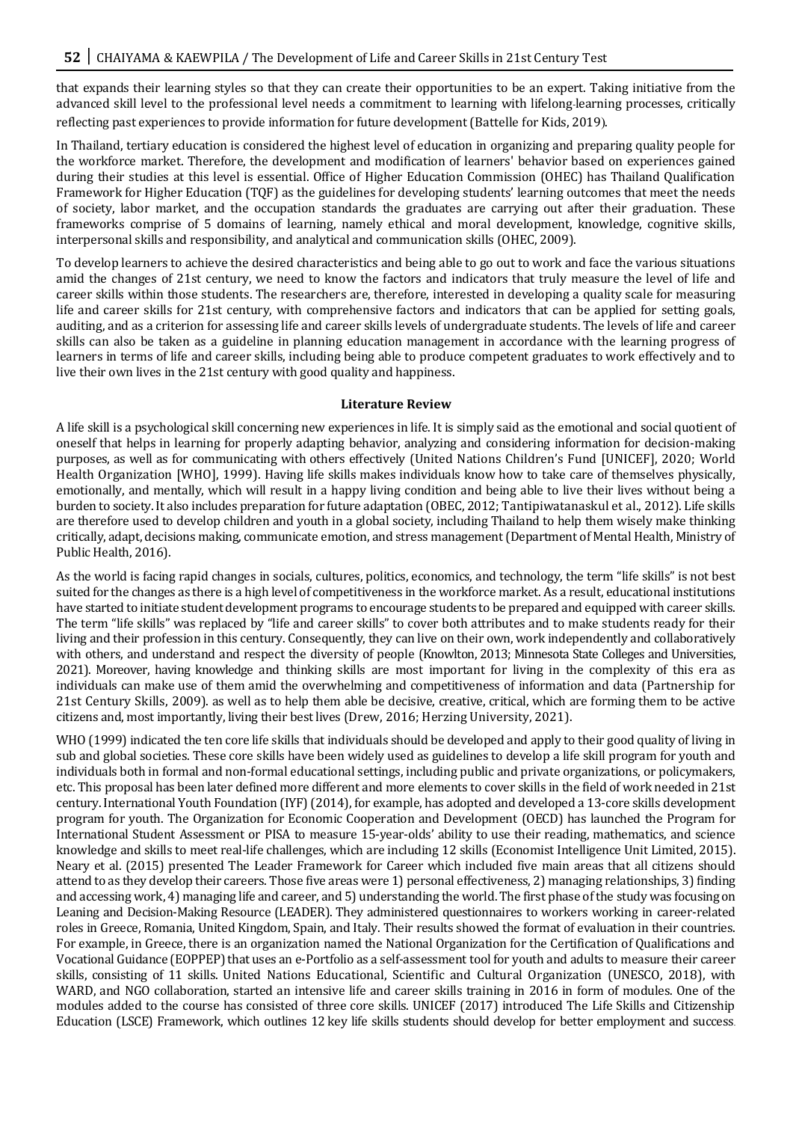that expands their learning styles so that they can create their opportunities to be an expert. Taking initiative from the advanced skill level to the professional level needs a commitment to learning with lifelong-learning processes, critically reflecting past experiences to provide information for future development (Battelle for Kids, 2019).

In Thailand, tertiary education is considered the highest level of education in organizing and preparing quality people for the workforce market. Therefore, the development and modification of learners' behavior based on experiences gained during their studies at this level is essential. Office of Higher Education Commission (OHEC) has Thailand Qualification Framework for Higher Education (TQF) as the guidelines for developing students' learning outcomes that meet the needs of society, labor market, and the occupation standards the graduates are carrying out after their graduation. These frameworks comprise of 5 domains of learning, namely ethical and moral development, knowledge, cognitive skills, interpersonal skills and responsibility, and analytical and communication skills (OHEC, 2009).

To develop learners to achieve the desired characteristics and being able to go out to work and face the various situations amid the changes of 21st century, we need to know the factors and indicators that truly measure the level of life and career skills within those students. The researchers are, therefore, interested in developing a quality scale for measuring life and career skills for 21st century, with comprehensive factors and indicators that can be applied for setting goals, auditing, and as a criterion for assessing life and career skills levels of undergraduate students. The levels of life and career skills can also be taken as a guideline in planning education management in accordance with the learning progress of learners in terms of life and career skills, including being able to produce competent graduates to work effectively and to live their own lives in the 21st century with good quality and happiness.

#### **Literature Review**

A life skill is a psychological skill concerning new experiences in life. It is simply said as the emotional and social quotient of oneself that helps in learning for properly adapting behavior, analyzing and considering information for decision-making purposes, as well as for communicating with others effectively (United Nations Children's Fund [UNICEF], 2020; World Health Organization [WHO], 1999). Having life skills makes individuals know how to take care of themselves physically, emotionally, and mentally, which will result in a happy living condition and being able to live their lives without being a burden to society. It also includes preparation for future adaptation (OBEC, 2012; Tantipiwatanaskul et al., 2012). Life skills are therefore used to develop children and youth in a global society, including Thailand to help them wisely make thinking critically, adapt, decisions making, communicate emotion, and stress management (Department of Mental Health, Ministry of Public Health, 2016).

As the world is facing rapid changes in socials, cultures, politics, economics, and technology, the term "life skills" is not best suited for the changes as there is a high level of competitiveness in the workforce market. As a result, educational institutions have started to initiate student development programs to encourage students to be prepared and equipped with career skills. The term "life skills" was replaced by "life and career skills" to cover both attributes and to make students ready for their living and their profession in this century. Consequently, they can live on their own, work independently and collaboratively with others, and understand and respect the diversity of people (Knowlton, 2013; Minnesota State Colleges and Universities, 2021). Moreover, having knowledge and thinking skills are most important for living in the complexity of this era as individuals can make use of them amid the overwhelming and competitiveness of information and data (Partnership for 21st Century Skills, 2009). as well as to help them able be decisive, creative, critical, which are forming them to be active citizens and, most importantly, living their best lives (Drew, 2016; Herzing University, 2021).

WHO (1999) indicated the ten core life skills that individuals should be developed and apply to their good quality of living in sub and global societies. These core skills have been widely used as guidelines to develop a life skill program for youth and individuals both in formal and non-formal educational settings, including public and private organizations, or policymakers, etc. This proposal has been later defined more different and more elements to cover skills in the field of work needed in 21st century. International Youth Foundation (IYF) (2014), for example, has adopted and developed a 13-core skills development program for youth. The Organization for Economic Cooperation and Development (OECD) has launched the Program for International Student Assessment or PISA to measure 15-year-olds' ability to use their reading, mathematics, and science knowledge and skills to meet real-life challenges, which are including 12 skills (Economist Intelligence Unit Limited, 2015). Neary et al. (2015) presented The Leader Framework for Career which included five main areas that all citizens should attend to as they develop their careers. Those five areas were 1) personal effectiveness, 2) managing relationships, 3) finding and accessing work, 4) managing life and career, and 5) understanding the world. The first phase of the study was focusing on Leaning and Decision-Making Resource (LEADER). They administered questionnaires to workers working in career-related roles in Greece, Romania, United Kingdom, Spain, and Italy. Their results showed the format of evaluation in their countries. For example, in Greece, there is an organization named the National Organization for the Certification of Qualifications and Vocational Guidance (EOPPEP) that uses an e-Portfolio as a self-assessment tool for youth and adults to measure their career skills, consisting of 11 skills. United Nations Educational, Scientific and Cultural Organization (UNESCO, 2018), with WARD, and NGO collaboration, started an intensive life and career skills training in 2016 in form of modules. One of the modules added to the course has consisted of three core skills. UNICEF (2017) introduced The Life Skills and Citizenship Education (LSCE) Framework, which outlines 12 key life skills students should develop for better employment and success.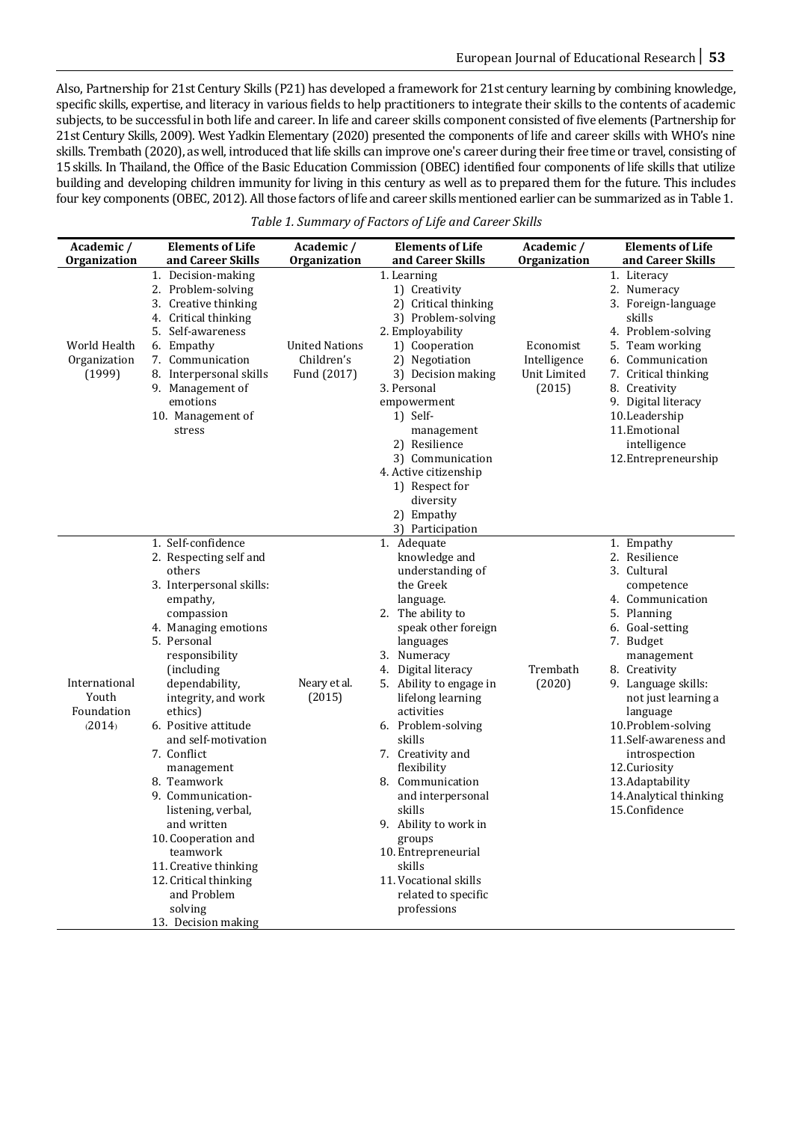Also, Partnership for 21st Century Skills (P21) has developed a framework for 21st century learning by combining knowledge, specific skills, expertise, and literacy in various fields to help practitioners to integrate their skills to the contents of academic subjects, to be successful in both life and career. In life and career skills component consisted of five elements (Partnership for 21st Century Skills, 2009). West Yadkin Elementary (2020) presented the components of life and career skills with WHO's nine skills. Trembath (2020), as well, introduced that life skills can improve one's career during their free time or travel, consisting of 15 skills. In Thailand, the Office of the Basic Education Commission (OBEC) identified four components of life skills that utilize building and developing children immunity for living in this century as well as to prepared them for the future. This includes four key components (OBEC, 2012). All those factors of life and career skills mentioned earlier can be summarized as in Table 1.

| Academic /<br>Organization                     | <b>Elements of Life</b><br>and Career Skills                                                                                                                                                                                                                                                                                                                                                                                                                                                                                       | Academic /<br><b>Organization</b>           | <b>Elements of Life</b><br>and Career Skills                                                                                                                                                                                                                                                                                                                                                                                                                                                      | Academic /<br>Organization                          | <b>Elements of Life</b><br>and Career Skills                                                                                                                                                                                                                                                                                                                         |
|------------------------------------------------|------------------------------------------------------------------------------------------------------------------------------------------------------------------------------------------------------------------------------------------------------------------------------------------------------------------------------------------------------------------------------------------------------------------------------------------------------------------------------------------------------------------------------------|---------------------------------------------|---------------------------------------------------------------------------------------------------------------------------------------------------------------------------------------------------------------------------------------------------------------------------------------------------------------------------------------------------------------------------------------------------------------------------------------------------------------------------------------------------|-----------------------------------------------------|----------------------------------------------------------------------------------------------------------------------------------------------------------------------------------------------------------------------------------------------------------------------------------------------------------------------------------------------------------------------|
| World Health<br>Organization<br>(1999)         | 1. Decision-making<br>2. Problem-solving<br>3. Creative thinking<br>4. Critical thinking<br>5.<br>Self-awareness<br>6. Empathy<br>7. Communication<br>8. Interpersonal skills<br>9. Management of<br>emotions<br>10. Management of<br>stress                                                                                                                                                                                                                                                                                       | United Nations<br>Children's<br>Fund (2017) | 1. Learning<br>1) Creativity<br>2) Critical thinking<br>3) Problem-solving<br>2. Employability<br>1) Cooperation<br>2) Negotiation<br>3) Decision making<br>3. Personal<br>empowerment<br>1) Self-<br>management<br>2) Resilience<br>3) Communication<br>4. Active citizenship<br>1) Respect for<br>diversity<br>2) Empathy<br>3) Participation                                                                                                                                                   | Economist<br>Intelligence<br>Unit Limited<br>(2015) | 1. Literacy<br>2. Numeracy<br>3. Foreign-language<br>skills<br>4. Problem-solving<br>5. Team working<br>6. Communication<br>7. Critical thinking<br>8. Creativity<br>9. Digital literacy<br>10. Leadership<br>11. Emotional<br>intelligence<br>12. Entrepreneurship                                                                                                  |
| International<br>Youth<br>Foundation<br>(2014) | 1. Self-confidence<br>2. Respecting self and<br>others<br>3. Interpersonal skills:<br>empathy,<br>compassion<br>4. Managing emotions<br>5. Personal<br>responsibility<br>(including<br>dependability,<br>integrity, and work<br>ethics)<br>6. Positive attitude<br>and self-motivation<br>7. Conflict<br>management<br>8. Teamwork<br>9. Communication-<br>listening, verbal,<br>and written<br>10. Cooperation and<br>teamwork<br>11. Creative thinking<br>12. Critical thinking<br>and Problem<br>solving<br>13. Decision making | Neary et al.<br>(2015)                      | 1. Adequate<br>knowledge and<br>understanding of<br>the Greek<br>language.<br>2. The ability to<br>speak other foreign<br>languages<br>3. Numeracy<br>4. Digital literacy<br>5. Ability to engage in<br>lifelong learning<br>activities<br>6. Problem-solving<br>skills<br>7. Creativity and<br>flexibility<br>8. Communication<br>and interpersonal<br>skills<br>9. Ability to work in<br>groups<br>10. Entrepreneurial<br>skills<br>11. Vocational skills<br>related to specific<br>professions | Trembath<br>(2020)                                  | 1. Empathy<br>2. Resilience<br>3. Cultural<br>competence<br>4. Communication<br>5. Planning<br>6. Goal-setting<br>7. Budget<br>management<br>8. Creativity<br>9. Language skills:<br>not just learning a<br>language<br>10.Problem-solving<br>11.Self-awareness and<br>introspection<br>12. Curiosity<br>13.Adaptability<br>14. Analytical thinking<br>15.Confidence |

*Table 1. Summary of Factors of Life and Career Skills*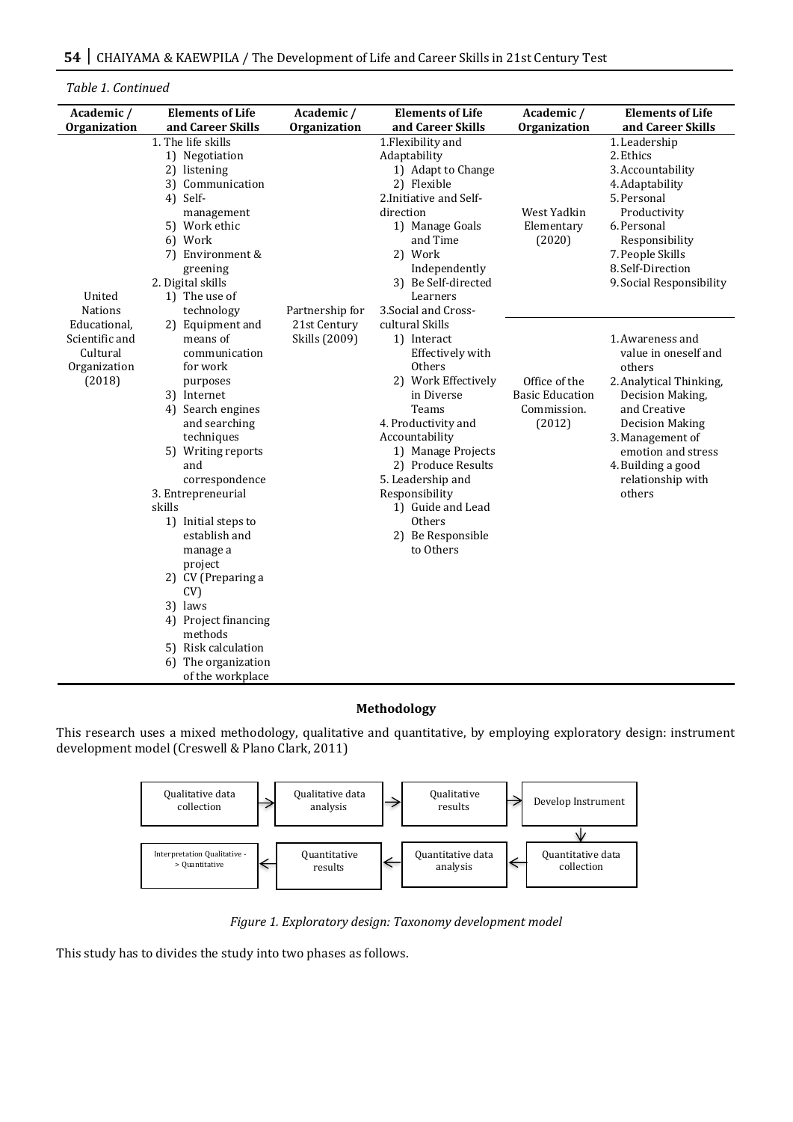*Table 1. Continued*

| Academic /                                                           | <b>Elements of Life</b>                                                                                                                                                                                                                                                                                                                                                                                                             | Academic /                    | <b>Elements of Life</b>                                                                                                                                                                                                                                                                                        | Academic /                                                       | <b>Elements of Life</b>                                                                                                                                                                                                                    |
|----------------------------------------------------------------------|-------------------------------------------------------------------------------------------------------------------------------------------------------------------------------------------------------------------------------------------------------------------------------------------------------------------------------------------------------------------------------------------------------------------------------------|-------------------------------|----------------------------------------------------------------------------------------------------------------------------------------------------------------------------------------------------------------------------------------------------------------------------------------------------------------|------------------------------------------------------------------|--------------------------------------------------------------------------------------------------------------------------------------------------------------------------------------------------------------------------------------------|
| Organization                                                         | and Career Skills                                                                                                                                                                                                                                                                                                                                                                                                                   | <b>Organization</b>           | and Career Skills                                                                                                                                                                                                                                                                                              | Organization                                                     | and Career Skills                                                                                                                                                                                                                          |
| United<br><b>Nations</b>                                             | 1. The life skills<br>1) Negotiation<br>2) listening<br>3) Communication<br>4) Self-<br>management<br>5) Work ethic<br>6) Work<br>7) Environment &<br>greening<br>2. Digital skills<br>1) The use of<br>technology                                                                                                                                                                                                                  | Partnership for               | 1. Flexibility and<br>Adaptability<br>1) Adapt to Change<br>2) Flexible<br>2. Initiative and Self-<br>direction<br>1) Manage Goals<br>and Time<br>2) Work<br>Independently<br>3) Be Self-directed<br>Learners<br>3. Social and Cross-                                                                          | West Yadkin<br>Elementary<br>(2020)                              | 1. Leadership<br>2. Ethics<br>3. Accountability<br>4. Adaptability<br>5. Personal<br>Productivity<br>6. Personal<br>Responsibility<br>7. People Skills<br>8. Self-Direction<br>9. Social Responsibility                                    |
| Educational,<br>Scientific and<br>Cultural<br>Organization<br>(2018) | 2) Equipment and<br>means of<br>communication<br>for work<br>purposes<br>3) Internet<br>4) Search engines<br>and searching<br>techniques<br>5) Writing reports<br>and<br>correspondence<br>3. Entrepreneurial<br>skills<br>1) Initial steps to<br>establish and<br>manage a<br>project<br>2) CV (Preparing a<br>CV)<br>3) laws<br>4) Project financing<br>methods<br>5) Risk calculation<br>6) The organization<br>of the workplace | 21st Century<br>Skills (2009) | cultural Skills<br>1) Interact<br>Effectively with<br>Others<br>2) Work Effectively<br>in Diverse<br>Teams<br>4. Productivity and<br>Accountability<br>1) Manage Projects<br>2) Produce Results<br>5. Leadership and<br>Responsibility<br>1) Guide and Lead<br><b>Others</b><br>2) Be Responsible<br>to Others | Office of the<br><b>Basic Education</b><br>Commission.<br>(2012) | 1. Awareness and<br>value in oneself and<br>others<br>2. Analytical Thinking,<br>Decision Making,<br>and Creative<br><b>Decision Making</b><br>3. Management of<br>emotion and stress<br>4. Building a good<br>relationship with<br>others |

# **Methodology**

This research uses a mixed methodology, qualitative and quantitative, by employing exploratory design: instrument development model (Creswell & Plano Clark, 2011)



*Figure 1. Exploratory design: Taxonomy development model*

This study has to divides the study into two phases as follows.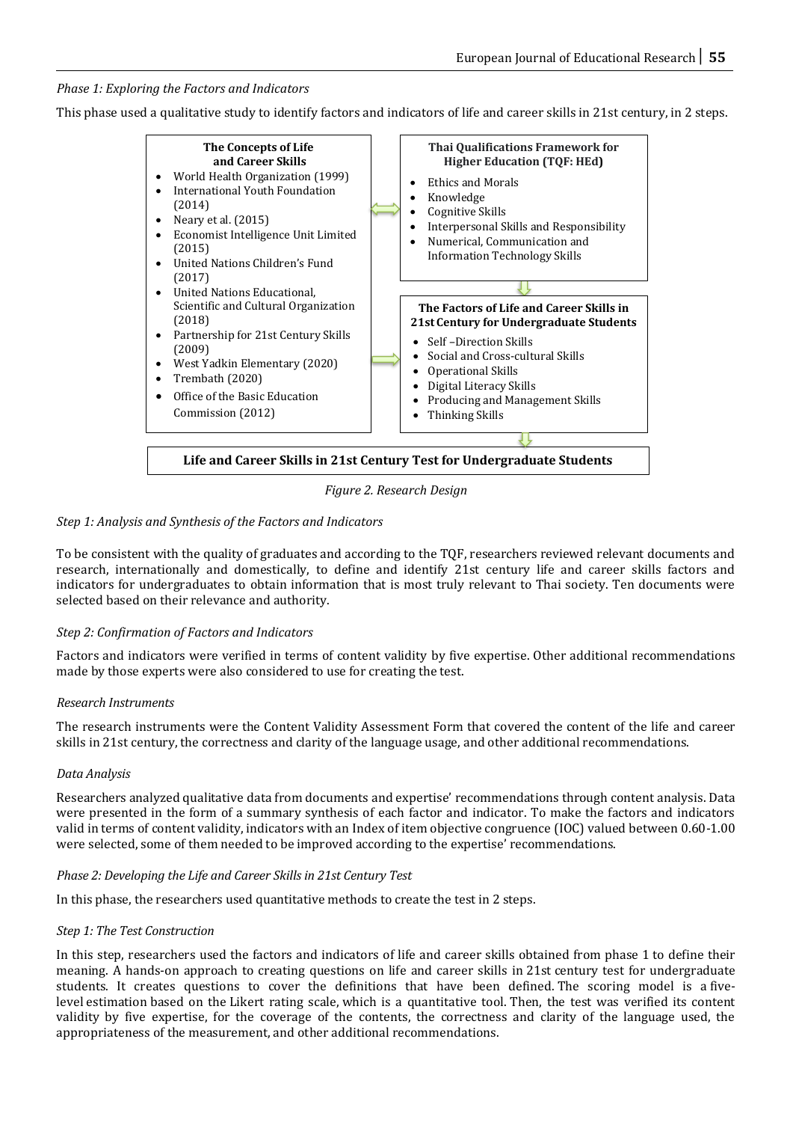*Phase 1: Exploring the Factors and Indicators*

This phase used a qualitative study to identify factors and indicators of life and career skills in 21st century, in 2 steps.



*Figure 2. Research Design* 

# *Step 1: Analysis and Synthesis of the Factors and Indicators*

To be consistent with the quality of graduates and according to the TQF, researchers reviewed relevant documents and research, internationally and domestically, to define and identify 21st century life and career skills factors and indicators for undergraduates to obtain information that is most truly relevant to Thai society. Ten documents were selected based on their relevance and authority.

# *Step 2: Confirmation of Factors and Indicators*

Factors and indicators were verified in terms of content validity by five expertise. Other additional recommendations made by those experts were also considered to use for creating the test.

# *Research Instruments*

The research instruments were the Content Validity Assessment Form that covered the content of the life and career skills in 21st century, the correctness and clarity of the language usage, and other additional recommendations.

# *Data Analysis*

Researchers analyzed qualitative data from documents and expertise' recommendations through content analysis. Data were presented in the form of a summary synthesis of each factor and indicator. To make the factors and indicators valid in terms of content validity, indicators with an Index of item objective congruence (IOC) valued between 0.60-1.00 were selected, some of them needed to be improved according to the expertise' recommendations.

# *Phase 2: Developing the Life and Career Skills in 21st Century Test*

In this phase, the researchers used quantitative methods to create the test in 2 steps.

# *Step 1: The Test Construction*

In this step, researchers used the factors and indicators of life and career skills obtained from phase 1 to define their meaning. A hands-on approach to creating questions on life and career skills in 21st century test for undergraduate students. It creates questions to cover the definitions that have been defined. The scoring model is a fivelevel estimation based on the Likert rating scale, which is a quantitative tool. Then, the test was verified its content validity by five expertise, for the coverage of the contents, the correctness and clarity of the language used, the appropriateness of the measurement, and other additional recommendations.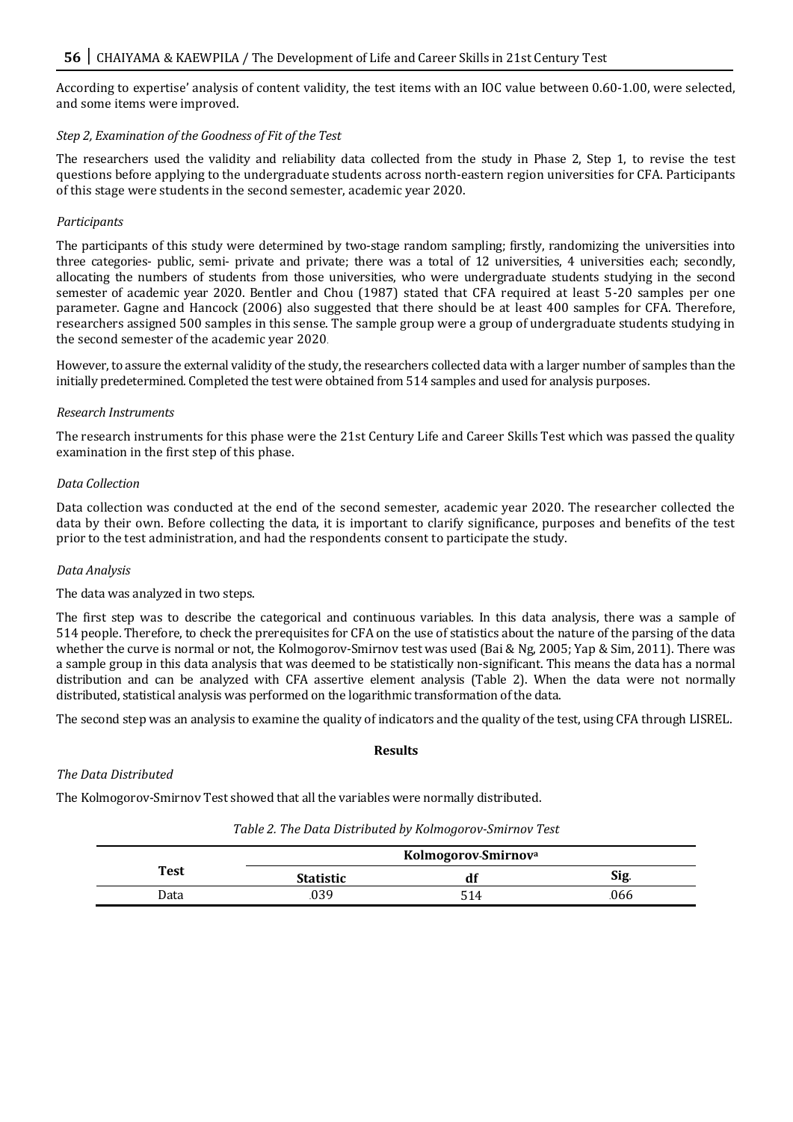According to expertise' analysis of content validity, the test items with an IOC value between 0.60-1.00, were selected, and some items were improved.

#### *Step 2, Examination of the Goodness of Fit of the Test*

The researchers used the validity and reliability data collected from the study in Phase 2, Step 1, to revise the test questions before applying to the undergraduate students across north-eastern region universities for CFA. Participants of this stage were students in the second semester, academic year 2020.

#### *Participants*

The participants of this study were determined by two-stage random sampling; firstly, randomizing the universities into three categories- public, semi- private and private; there was a total of 12 universities, 4 universities each; secondly, allocating the numbers of students from those universities, who were undergraduate students studying in the second semester of academic year 2020. Bentler and Chou (1987) stated that CFA required at least 5-20 samples per one parameter. Gagne and Hancock (2006) also suggested that there should be at least 400 samples for CFA. Therefore, researchers assigned 500 samples in this sense. The sample group were a group of undergraduate students studying in the second semester of the academic year 2020.

However, to assure the external validity of the study, the researchers collected data with a larger number of samples than the initially predetermined. Completed the test were obtained from 514 samples and used for analysis purposes.

#### *Research Instruments*

The research instruments for this phase were the 21st Century Life and Career Skills Test which was passed the quality examination in the first step of this phase.

#### *Data Collection*

Data collection was conducted at the end of the second semester, academic year 2020. The researcher collected the data by their own. Before collecting the data, it is important to clarify significance, purposes and benefits of the test prior to the test administration, and had the respondents consent to participate the study.

#### *Data Analysis*

#### The data was analyzed in two steps.

The first step was to describe the categorical and continuous variables. In this data analysis, there was a sample of 514 people. Therefore, to check the prerequisites for CFA on the use of statistics about the nature of the parsing of the data whether the curve is normal or not, the Kolmogorov-Smirnov test was used (Bai & Ng, 2005; Yap & Sim, 2011). There was a sample group in this data analysis that was deemed to be statistically non-significant. This means the data has a normal distribution and can be analyzed with CFA assertive element analysis (Table 2). When the data were not normally distributed, statistical analysis was performed on the logarithmic transformation of the data.

The second step was an analysis to examine the quality of indicators and the quality of the test, using CFA through LISREL.

#### **Results**

#### *The Data Distributed*

The Kolmogorov-Smirnov Test showed that all the variables were normally distributed.

|             |                  | Kolmogorov-Smirnov <sup>a</sup> |      |
|-------------|------------------|---------------------------------|------|
| <b>Test</b> | <b>Statistic</b> |                                 | Sig. |
| Data        | 039              | 514                             | 066  |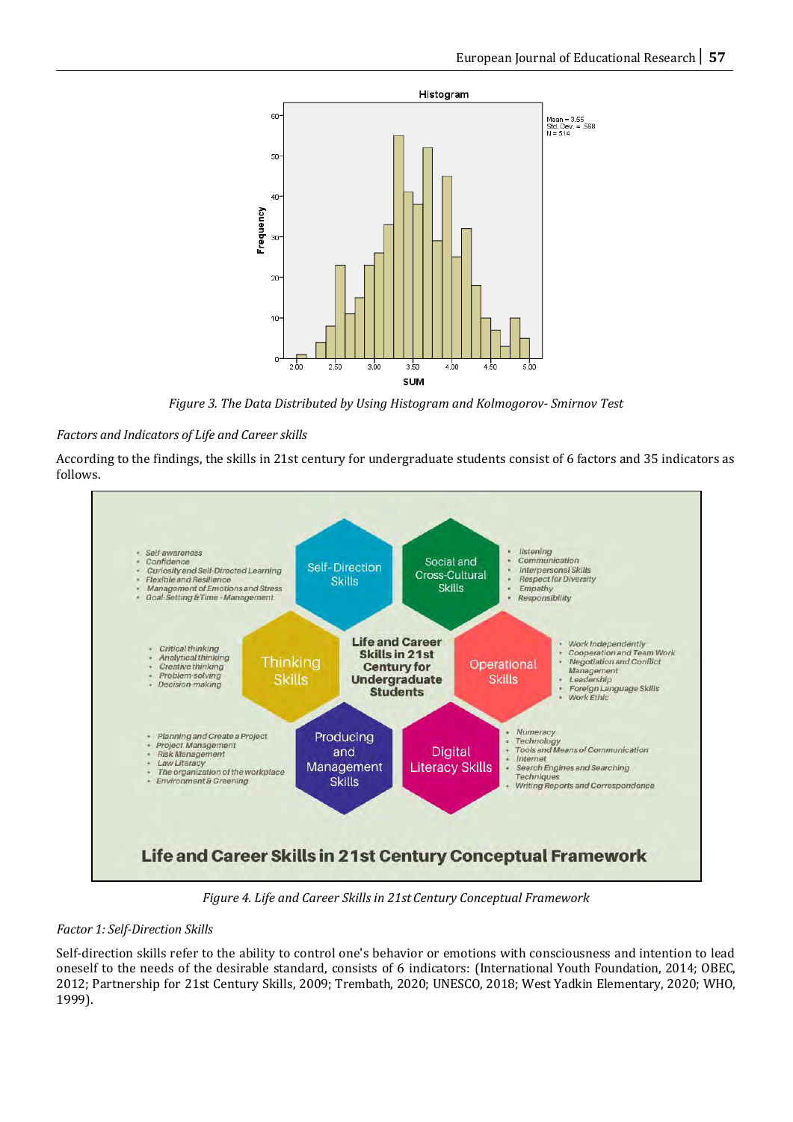

*Figure 3. The Data Distributed by Using Histogram and Kolmogorov- Smirnov Test*

# *Factors and Indicators of Life and Career skills*

According to the findings, the skills in 21st century for undergraduate students consist of 6 factors and 35 indicators as follows.



*Figure 4. Life and Career Skills in 21st Century Conceptual Framework*

# *Factor 1: Self-Direction Skills*

Self-direction skills refer to the ability to control one's behavior or emotions with consciousness and intention to lead oneself to the needs of the desirable standard, consists of 6 indicators: (International Youth Foundation, 2014; OBEC, 2012; Partnership for 21st Century Skills, 2009; Trembath, 2020; UNESCO, 2018; West Yadkin Elementary, 2020; WHO, 1999).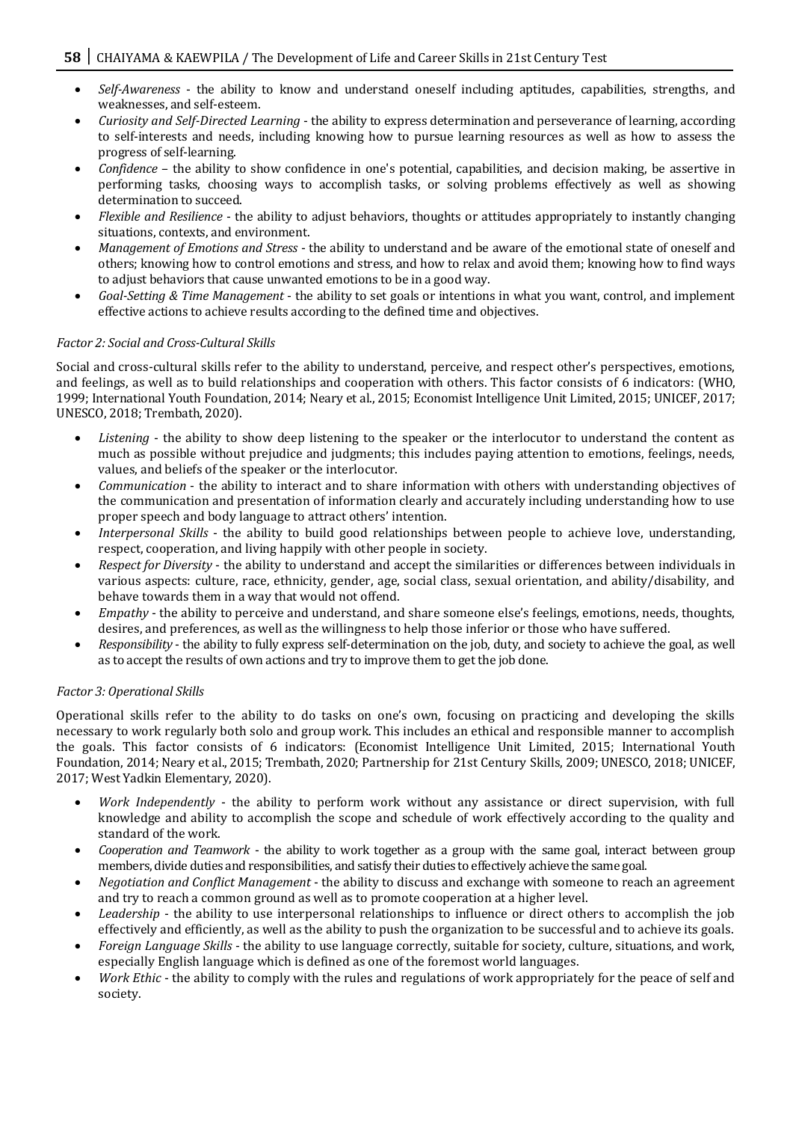- *Self-Awareness* the ability to know and understand oneself including aptitudes, capabilities, strengths, and weaknesses, and self-esteem.
- *Curiosity and Self-Directed Learning* the ability to express determination and perseverance of learning, according to self-interests and needs, including knowing how to pursue learning resources as well as how to assess the progress of self-learning.
- *Confidence* the ability to show confidence in one's potential, capabilities, and decision making, be assertive in performing tasks, choosing ways to accomplish tasks, or solving problems effectively as well as showing determination to succeed.
- *Flexible and Resilience* the ability to adjust behaviors, thoughts or attitudes appropriately to instantly changing situations, contexts, and environment.
- *Management of Emotions and Stress* the ability to understand and be aware of the emotional state of oneself and others; knowing how to control emotions and stress, and how to relax and avoid them; knowing how to find ways to adjust behaviors that cause unwanted emotions to be in a good way.
- *Goal-Setting & Time Management* the ability to set goals or intentions in what you want, control, and implement effective actions to achieve results according to the defined time and objectives.

# *Factor 2: Social and Cross-Cultural Skills*

Social and cross-cultural skills refer to the ability to understand, perceive, and respect other's perspectives, emotions, and feelings, as well as to build relationships and cooperation with others. This factor consists of 6 indicators: (WHO, 1999; International Youth Foundation, 2014; Neary et al., 2015; Economist Intelligence Unit Limited, 2015; UNICEF, 2017; UNESCO, 2018; Trembath, 2020).

- *Listening* the ability to show deep listening to the speaker or the interlocutor to understand the content as much as possible without prejudice and judgments; this includes paying attention to emotions, feelings, needs, values, and beliefs of the speaker or the interlocutor.
- *Communication* the ability to interact and to share information with others with understanding objectives of the communication and presentation of information clearly and accurately including understanding how to use proper speech and body language to attract others' intention.
- *Interpersonal Skills* the ability to build good relationships between people to achieve love, understanding, respect, cooperation, and living happily with other people in society.
- *Respect for Diversity* the ability to understand and accept the similarities or differences between individuals in various aspects: culture, race, ethnicity, gender, age, social class, sexual orientation, and ability/disability, and behave towards them in a way that would not offend.
- *Empathy* the ability to perceive and understand, and share someone else's feelings, emotions, needs, thoughts, desires, and preferences, as well as the willingness to help those inferior or those who have suffered.
- *Responsibility* the ability to fully express self-determination on the job, duty, and society to achieve the goal, as well as to accept the results of own actions and try to improve them to get the job done.

#### *Factor 3: Operational Skills*

Operational skills refer to the ability to do tasks on one's own, focusing on practicing and developing the skills necessary to work regularly both solo and group work. This includes an ethical and responsible manner to accomplish the goals. This factor consists of 6 indicators: (Economist Intelligence Unit Limited, 2015; International Youth Foundation, 2014; Neary et al., 2015; Trembath, 2020; Partnership for 21st Century Skills, 2009; UNESCO, 2018; UNICEF, 2017; West Yadkin Elementary, 2020).

- *Work Independently* the ability to perform work without any assistance or direct supervision, with full knowledge and ability to accomplish the scope and schedule of work effectively according to the quality and standard of the work.
- *Cooperation and Teamwork* the ability to work together as a group with the same goal, interact between group members, divide duties and responsibilities, and satisfy their duties to effectively achieve the same goal.
- *Negotiation and Conflict Management* the ability to discuss and exchange with someone to reach an agreement and try to reach a common ground as well as to promote cooperation at a higher level.
- *Leadership* the ability to use interpersonal relationships to influence or direct others to accomplish the job effectively and efficiently, as well as the ability to push the organization to be successful and to achieve its goals.
- *Foreign Language Skills* the ability to use language correctly, suitable for society, culture, situations, and work, especially English language which is defined as one of the foremost world languages.
- *Work Ethic* the ability to comply with the rules and regulations of work appropriately for the peace of self and society.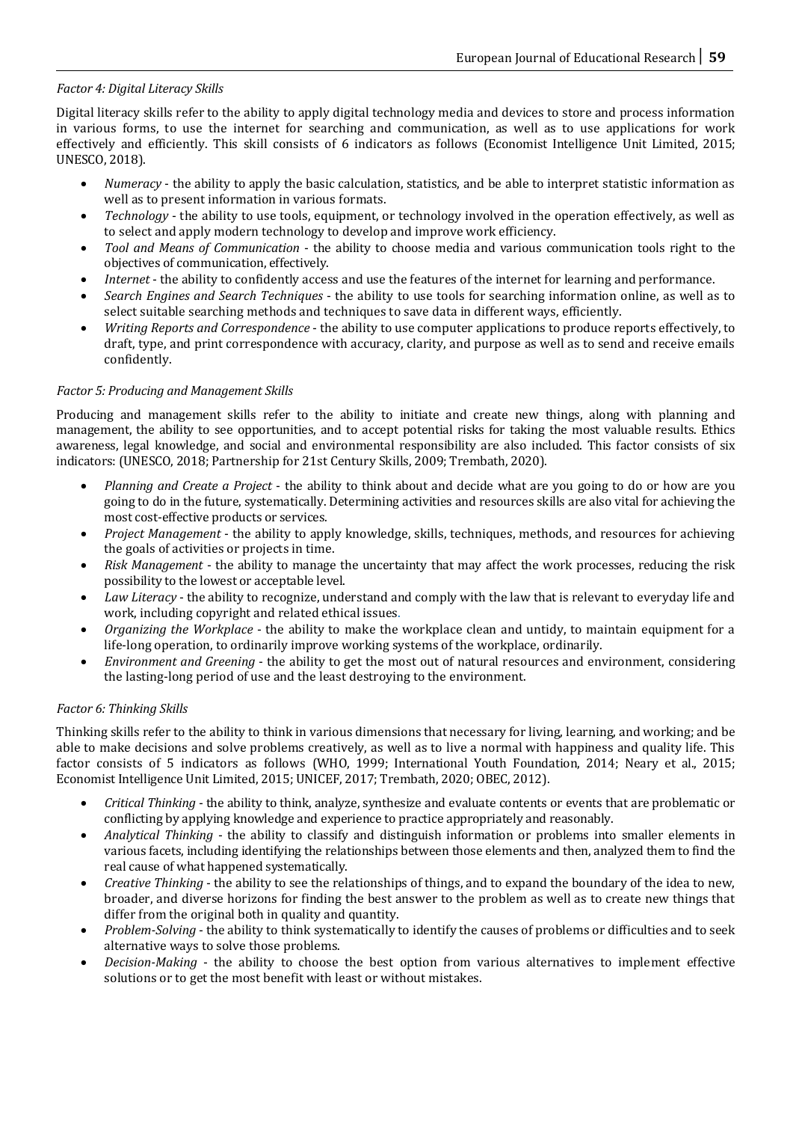# *Factor 4: Digital Literacy Skills*

Digital literacy skills refer to the ability to apply digital technology media and devices to store and process information in various forms, to use the internet for searching and communication, as well as to use applications for work effectively and efficiently. This skill consists of 6 indicators as follows (Economist Intelligence Unit Limited, 2015; UNESCO, 2018).

- *Numeracy*  the ability to apply the basic calculation, statistics, and be able to interpret statistic information as well as to present information in various formats.
- *Technology* the ability to use tools, equipment, or technology involved in the operation effectively, as well as to select and apply modern technology to develop and improve work efficiency.
- *Tool and Means of Communication* the ability to choose media and various communication tools right to the objectives of communication, effectively.
- *Internet* the ability to confidently access and use the features of the internet for learning and performance.
- *Search Engines and Search Techniques* the ability to use tools for searching information online, as well as to select suitable searching methods and techniques to save data in different ways, efficiently.
- *Writing Reports and Correspondence* the ability to use computer applications to produce reports effectively, to draft, type, and print correspondence with accuracy, clarity, and purpose as well as to send and receive emails confidently.

#### *Factor 5: Producing and Management Skills*

Producing and management skills refer to the ability to initiate and create new things, along with planning and management, the ability to see opportunities, and to accept potential risks for taking the most valuable results. Ethics awareness, legal knowledge, and social and environmental responsibility are also included. This factor consists of six indicators: (UNESCO, 2018; Partnership for 21st Century Skills, 2009; Trembath, 2020).

- *Planning and Create a Project* the ability to think about and decide what are you going to do or how are you going to do in the future, systematically. Determining activities and resources skills are also vital for achieving the most cost-effective products or services.
- *Project Management* the ability to apply knowledge, skills, techniques, methods, and resources for achieving the goals of activities or projects in time.
- *Risk Management* the ability to manage the uncertainty that may affect the work processes, reducing the risk possibility to the lowest or acceptable level.
- *Law Literacy* the ability to recognize, understand and comply with the law that is relevant to everyday life and work, including copyright and related ethical issues.
- *Organizing the Workplace* the ability to make the workplace clean and untidy, to maintain equipment for a life-long operation, to ordinarily improve working systems of the workplace, ordinarily.
- *Environment and Greening* the ability to get the most out of natural resources and environment, considering the lasting-long period of use and the least destroying to the environment.

#### *Factor 6: Thinking Skills*

Thinking skills refer to the ability to think in various dimensions that necessary for living, learning, and working; and be able to make decisions and solve problems creatively, as well as to live a normal with happiness and quality life. This factor consists of 5 indicators as follows (WHO, 1999; International Youth Foundation, 2014; Neary et al., 2015; Economist Intelligence Unit Limited, 2015; UNICEF, 2017; Trembath, 2020; OBEC, 2012).

- *Critical Thinking* the ability to think, analyze, synthesize and evaluate contents or events that are problematic or conflicting by applying knowledge and experience to practice appropriately and reasonably.
- *Analytical Thinking* the ability to classify and distinguish information or problems into smaller elements in various facets, including identifying the relationships between those elements and then, analyzed them to find the real cause of what happened systematically.
- *Creative Thinking* the ability to see the relationships of things, and to expand the boundary of the idea to new, broader, and diverse horizons for finding the best answer to the problem as well as to create new things that differ from the original both in quality and quantity.
- *Problem-Solving* the ability to think systematically to identify the causes of problems or difficulties and to seek alternative ways to solve those problems.
- *Decision-Making* the ability to choose the best option from various alternatives to implement effective solutions or to get the most benefit with least or without mistakes.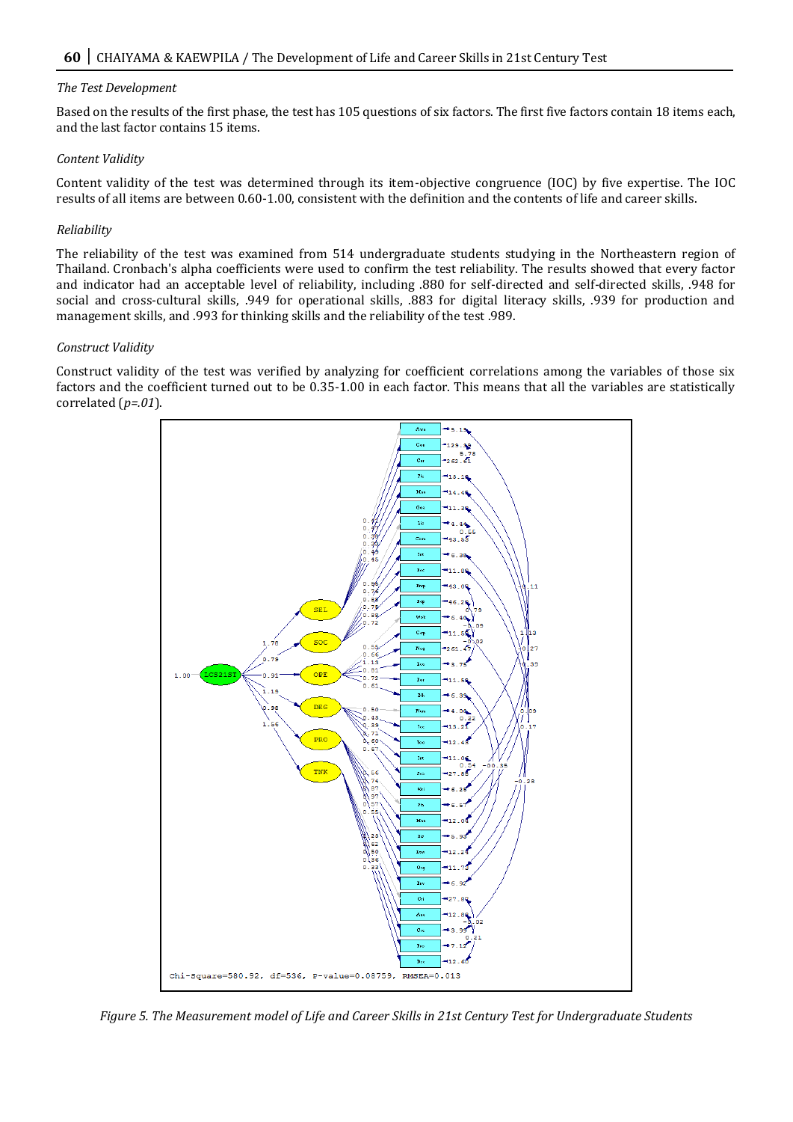#### *The Test Development*

Based on the results of the first phase, the test has 105 questions of six factors. The first five factors contain 18 items each, and the last factor contains 15 items.

#### *Content Validity*

Content validity of the test was determined through its item-objective congruence (IOC) by five expertise. The IOC results of all items are between 0.60-1.00, consistent with the definition and the contents of life and career skills.

#### *Reliability*

The reliability of the test was examined from 514 undergraduate students studying in the Northeastern region of Thailand. Cronbach's alpha coefficients were used to confirm the test reliability. The results showed that every factor and indicator had an acceptable level of reliability, including .880 for self-directed and self-directed skills, .948 for social and cross-cultural skills, .949 for operational skills, .883 for digital literacy skills, .939 for production and management skills, and .993 for thinking skills and the reliability of the test .989.

#### *Construct Validity*

Construct validity of the test was verified by analyzing for coefficient correlations among the variables of those six factors and the coefficient turned out to be 0.35-1.00 in each factor. This means that all the variables are statistically correlated (*p=.01*).



*Figure 5. The Measurement model of Life and Career Skills in 21st Century Test for Undergraduate Students*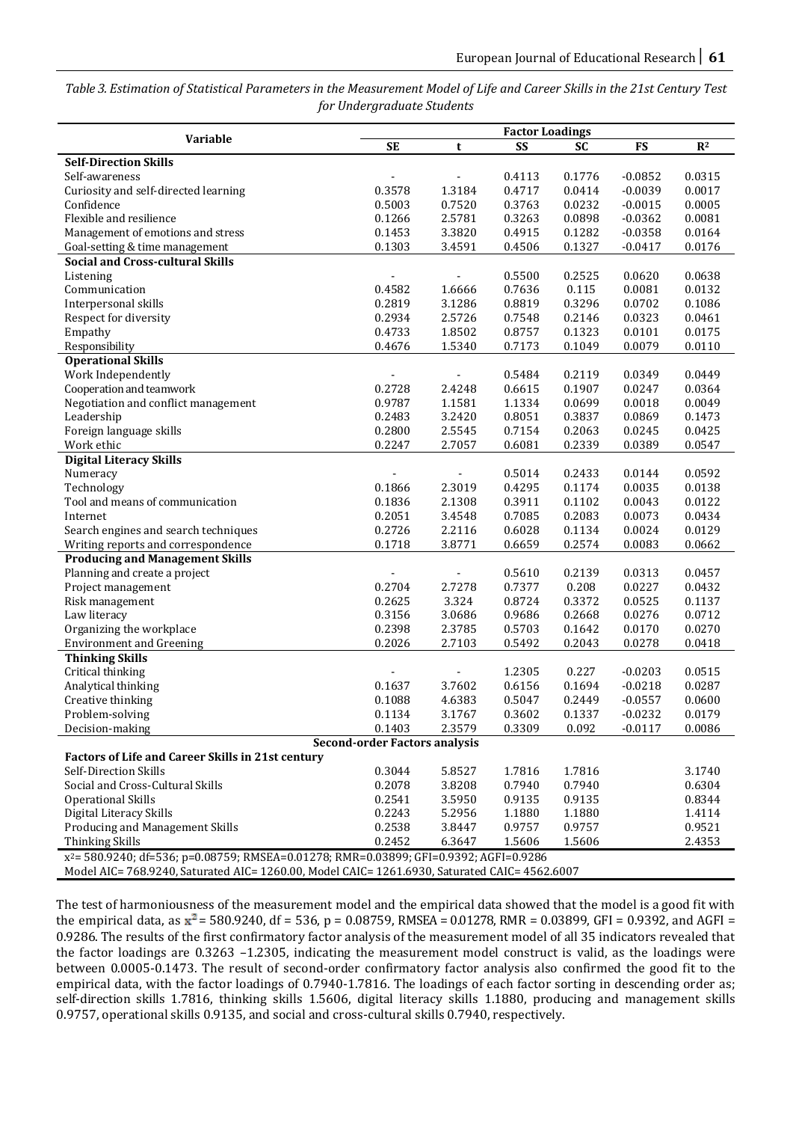*Table 3. Estimation of Statistical Parameters in the Measurement Model of Life and Career Skills in the 21st Century Test for Undergraduate Students*

|                                                                                                   |                                      |                | <b>Factor Loadings</b> |           |           |        |
|---------------------------------------------------------------------------------------------------|--------------------------------------|----------------|------------------------|-----------|-----------|--------|
| Variable                                                                                          | <b>SE</b>                            | t              | <b>SS</b>              | <b>SC</b> | FS        | $R^2$  |
| <b>Self-Direction Skills</b>                                                                      |                                      |                |                        |           |           |        |
| Self-awareness                                                                                    |                                      |                | 0.4113                 | 0.1776    | $-0.0852$ | 0.0315 |
| Curiosity and self-directed learning                                                              | 0.3578                               | 1.3184         | 0.4717                 | 0.0414    | $-0.0039$ | 0.0017 |
| Confidence                                                                                        | 0.5003                               | 0.7520         | 0.3763                 | 0.0232    | $-0.0015$ | 0.0005 |
| Flexible and resilience                                                                           | 0.1266                               | 2.5781         | 0.3263                 | 0.0898    | $-0.0362$ | 0.0081 |
| Management of emotions and stress                                                                 | 0.1453                               | 3.3820         | 0.4915                 | 0.1282    | $-0.0358$ | 0.0164 |
| Goal-setting & time management                                                                    | 0.1303                               | 3.4591         | 0.4506                 | 0.1327    | $-0.0417$ | 0.0176 |
| <b>Social and Cross-cultural Skills</b>                                                           |                                      |                |                        |           |           |        |
| Listening                                                                                         |                                      |                | 0.5500                 | 0.2525    | 0.0620    | 0.0638 |
| Communication                                                                                     | 0.4582                               | 1.6666         | 0.7636                 | 0.115     | 0.0081    | 0.0132 |
| Interpersonal skills                                                                              | 0.2819                               | 3.1286         | 0.8819                 | 0.3296    | 0.0702    | 0.1086 |
| Respect for diversity                                                                             | 0.2934                               | 2.5726         | 0.7548                 | 0.2146    | 0.0323    | 0.0461 |
| Empathy                                                                                           | 0.4733                               | 1.8502         | 0.8757                 | 0.1323    | 0.0101    | 0.0175 |
| Responsibility                                                                                    | 0.4676                               | 1.5340         | 0.7173                 | 0.1049    | 0.0079    | 0.0110 |
| <b>Operational Skills</b>                                                                         |                                      |                |                        |           |           |        |
| Work Independently                                                                                |                                      | $\blacksquare$ | 0.5484                 | 0.2119    | 0.0349    | 0.0449 |
| Cooperation and teamwork                                                                          | 0.2728                               | 2.4248         | 0.6615                 | 0.1907    | 0.0247    | 0.0364 |
| Negotiation and conflict management                                                               | 0.9787                               | 1.1581         | 1.1334                 | 0.0699    | 0.0018    | 0.0049 |
| Leadership                                                                                        | 0.2483                               | 3.2420         | 0.8051                 | 0.3837    | 0.0869    | 0.1473 |
| Foreign language skills                                                                           | 0.2800                               | 2.5545         | 0.7154                 | 0.2063    | 0.0245    | 0.0425 |
| Work ethic                                                                                        | 0.2247                               | 2.7057         | 0.6081                 | 0.2339    | 0.0389    | 0.0547 |
| <b>Digital Literacy Skills</b>                                                                    |                                      |                |                        |           |           |        |
| Numeracy                                                                                          |                                      |                | 0.5014                 | 0.2433    | 0.0144    | 0.0592 |
| Technology                                                                                        | 0.1866                               | 2.3019         | 0.4295                 | 0.1174    | 0.0035    | 0.0138 |
| Tool and means of communication                                                                   | 0.1836                               | 2.1308         | 0.3911                 | 0.1102    | 0.0043    | 0.0122 |
| Internet                                                                                          | 0.2051                               | 3.4548         | 0.7085                 | 0.2083    | 0.0073    | 0.0434 |
| Search engines and search techniques                                                              | 0.2726                               | 2.2116         | 0.6028                 | 0.1134    | 0.0024    | 0.0129 |
| Writing reports and correspondence                                                                | 0.1718                               | 3.8771         | 0.6659                 | 0.2574    | 0.0083    | 0.0662 |
| <b>Producing and Management Skills</b>                                                            |                                      |                |                        |           |           |        |
| Planning and create a project                                                                     |                                      | $\blacksquare$ | 0.5610                 | 0.2139    | 0.0313    | 0.0457 |
| Project management                                                                                | 0.2704                               | 2.7278         | 0.7377                 | 0.208     | 0.0227    | 0.0432 |
| Risk management                                                                                   | 0.2625                               | 3.324          | 0.8724                 | 0.3372    | 0.0525    | 0.1137 |
| Law literacy                                                                                      | 0.3156                               | 3.0686         | 0.9686                 | 0.2668    | 0.0276    | 0.0712 |
| Organizing the workplace                                                                          | 0.2398                               | 2.3785         | 0.5703                 | 0.1642    | 0.0170    | 0.0270 |
| <b>Environment and Greening</b>                                                                   | 0.2026                               | 2.7103         | 0.5492                 | 0.2043    | 0.0278    | 0.0418 |
| <b>Thinking Skills</b>                                                                            |                                      |                |                        |           |           |        |
| Critical thinking                                                                                 |                                      |                | 1.2305                 | 0.227     | $-0.0203$ | 0.0515 |
| Analytical thinking                                                                               | 0.1637                               | 3.7602         | 0.6156                 | 0.1694    | $-0.0218$ | 0.0287 |
| Creative thinking                                                                                 | 0.1088                               | 4.6383         | 0.5047                 | 0.2449    | $-0.0557$ | 0.0600 |
| Problem-solving                                                                                   | 0.1134                               | 3.1767         | 0.3602                 | 0.1337    | $-0.0232$ | 0.0179 |
| Decision-making                                                                                   | 0.1403                               | 2.3579         | 0.3309                 | 0.092     | $-0.0117$ | 0.0086 |
|                                                                                                   | <b>Second-order Factors analysis</b> |                |                        |           |           |        |
| <b>Factors of Life and Career Skills in 21st century</b>                                          |                                      |                |                        |           |           |        |
| Self-Direction Skills                                                                             | 0.3044                               | 5.8527         | 1.7816                 | 1.7816    |           | 3.1740 |
| Social and Cross-Cultural Skills                                                                  | 0.2078                               | 3.8208         | 0.7940                 | 0.7940    |           | 0.6304 |
| <b>Operational Skills</b>                                                                         | 0.2541                               | 3.5950         | 0.9135                 | 0.9135    |           | 0.8344 |
| Digital Literacy Skills                                                                           | 0.2243                               | 5.2956         | 1.1880                 | 1.1880    |           | 1.4114 |
| Producing and Management Skills                                                                   | 0.2538                               | 3.8447         | 0.9757                 | 0.9757    |           | 0.9521 |
| <b>Thinking Skills</b>                                                                            | 0.2452                               | 6.3647         | 1.5606                 | 1.5606    |           | 2.4353 |
| x <sup>2</sup> = 580.9240; df=536; p=0.08759; RMSEA=0.01278; RMR=0.03899; GFI=0.9392; AGFI=0.9286 |                                      |                |                        |           |           |        |
|                                                                                                   |                                      |                |                        |           |           |        |

Model AIC= 768.9240, Saturated AIC= 1260.00, Model CAIC= 1261.6930, Saturated CAIC= 4562.6007

The test of harmoniousness of the measurement model and the empirical data showed that the model is a good fit with the empirical data, as  $x^2 = 580.9240$ , df = 536, p = 0.08759, RMSEA = 0.01278, RMR = 0.03899, GFI = 0.9392, and AGFI = 0.9286. The results of the first confirmatory factor analysis of the measurement model of all 35 indicators revealed that the factor loadings are 0.3263 –1.2305, indicating the measurement model construct is valid, as the loadings were between 0.0005-0.1473. The result of second-order confirmatory factor analysis also confirmed the good fit to the empirical data, with the factor loadings of 0.7940-1.7816. The loadings of each factor sorting in descending order as; self-direction skills 1.7816, thinking skills 1.5606, digital literacy skills 1.1880, producing and management skills 0.9757, operational skills 0.9135, and social and cross-cultural skills 0.7940, respectively.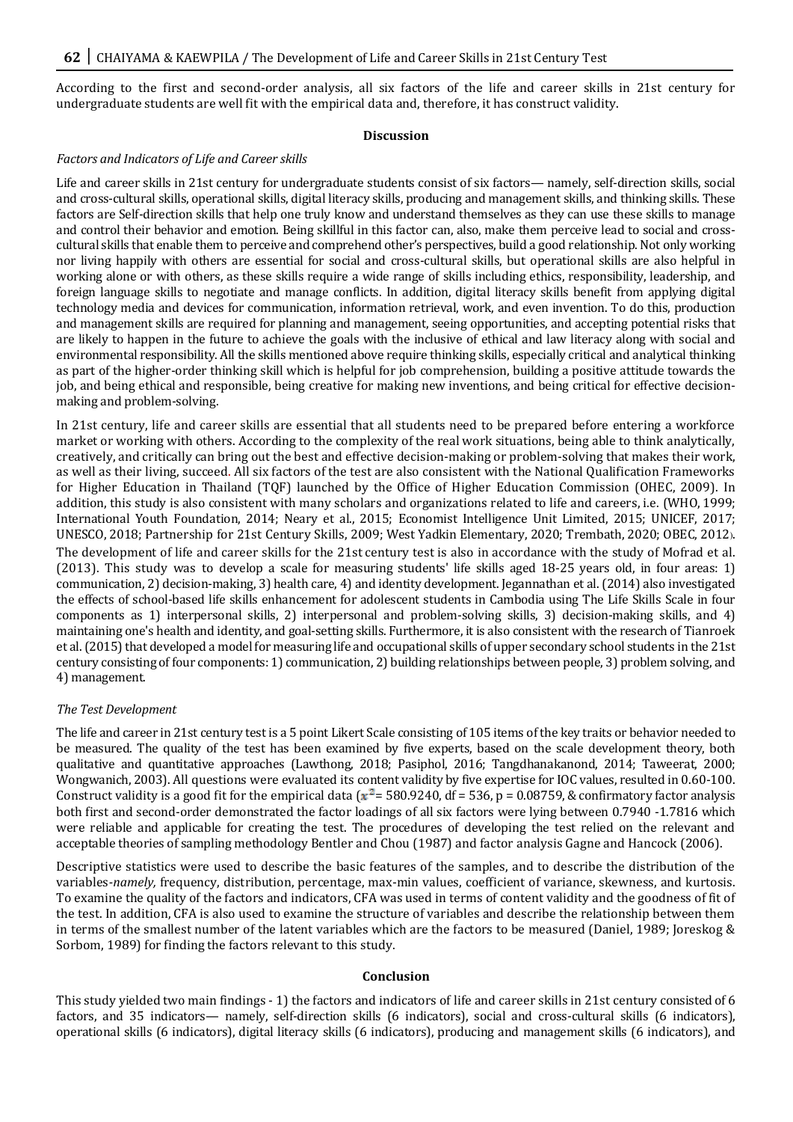According to the first and second-order analysis, all six factors of the life and career skills in 21st century for undergraduate students are well fit with the empirical data and, therefore, it has construct validity.

#### **Discussion**

#### *Factors and Indicators of Life and Career skills*

Life and career skills in 21st century for undergraduate students consist of six factors— namely, self-direction skills, social and cross-cultural skills, operational skills, digital literacy skills, producing and management skills, and thinking skills. These factors are Self-direction skills that help one truly know and understand themselves as they can use these skills to manage and control their behavior and emotion. Being skillful in this factor can, also, make them perceive lead to social and crosscultural skills that enable them to perceive and comprehend other's perspectives, build a good relationship. Not only working nor living happily with others are essential for social and cross-cultural skills, but operational skills are also helpful in working alone or with others, as these skills require a wide range of skills including ethics, responsibility, leadership, and foreign language skills to negotiate and manage conflicts. In addition, digital literacy skills benefit from applying digital technology media and devices for communication, information retrieval, work, and even invention. To do this, production and management skills are required for planning and management, seeing opportunities, and accepting potential risks that are likely to happen in the future to achieve the goals with the inclusive of ethical and law literacy along with social and environmental responsibility. All the skills mentioned above require thinking skills, especially critical and analytical thinking as part of the higher-order thinking skill which is helpful for job comprehension, building a positive attitude towards the job, and being ethical and responsible, being creative for making new inventions, and being critical for effective decisionmaking and problem-solving.

In 21st century, life and career skills are essential that all students need to be prepared before entering a workforce market or working with others. According to the complexity of the real work situations, being able to think analytically, creatively, and critically can bring out the best and effective decision-making or problem-solving that makes their work, as well as their living, succeed. All six factors of the test are also consistent with the National Qualification Frameworks for Higher Education in Thailand (TQF) launched by the Office of Higher Education Commission (OHEC, 2009). In addition, this study is also consistent with many scholars and organizations related to life and careers, i.e. (WHO, 1999; International Youth Foundation, 2014; Neary et al., 2015; Economist Intelligence Unit Limited, 2015; UNICEF, 2017; UNESCO, 2018; Partnership for 21st Century Skills, 2009; West Yadkin Elementary, 2020; Trembath, 2020; OBEC, 2012). The development of life and career skills for the 21st century test is also in accordance with the study of Mofrad et al. (2013). This study was to develop a scale for measuring students' life skills aged 18-25 years old, in four areas: 1) communication, 2) decision-making, 3) health care, 4) and identity development. Jegannathan et al. (2014) also investigated the effects of school-based life skills enhancement for adolescent students in Cambodia using The Life Skills Scale in four components as 1) interpersonal skills, 2) interpersonal and problem-solving skills, 3) decision-making skills, and 4) maintaining one's health and identity, and goal-setting skills. Furthermore, it is also consistent with the research of Tianroek et al. (2015) that developed a model for measuring life and occupational skills of upper secondary school students in the 21st century consisting of four components: 1) communication, 2) building relationships between people, 3) problem solving, and 4) management.

#### *The Test Development*

The life and career in 21st century test is a 5 point Likert Scale consisting of 105 items of the key traits or behavior needed to be measured. The quality of the test has been examined by five experts, based on the scale development theory, both qualitative and quantitative approaches (Lawthong, 2018; Pasiphol, 2016; Tangdhanakanond, 2014; Taweerat, 2000; Wongwanich, 2003). All questions were evaluated its content validity by five expertise for IOC values, resulted in 0.60-100. Construct validity is a good fit for the empirical data ( $x^2$  = 580.9240, df = 536, p = 0.08759, & confirmatory factor analysis both first and second-order demonstrated the factor loadings of all six factors were lying between 0.7940 -1.7816 which were reliable and applicable for creating the test. The procedures of developing the test relied on the relevant and acceptable theories of sampling methodology Bentler and Chou (1987) and factor analysis Gagne and Hancock (2006).

Descriptive statistics were used to describe the basic features of the samples, and to describe the distribution of the variables*-namely,* frequency, distribution, percentage, max-min values, coefficient of variance, skewness, and kurtosis. To examine the quality of the factors and indicators, CFA was used in terms of content validity and the goodness of fit of the test. In addition, CFA is also used to examine the structure of variables and describe the relationship between them in terms of the smallest number of the latent variables which are the factors to be measured (Daniel, 1989; Joreskog & Sorbom, 1989) for finding the factors relevant to this study.

#### **Conclusion**

This study yielded two main findings - 1) the factors and indicators of life and career skills in 21st century consisted of 6 factors, and 35 indicators— namely, self-direction skills (6 indicators), social and cross-cultural skills (6 indicators), operational skills (6 indicators), digital literacy skills (6 indicators), producing and management skills (6 indicators), and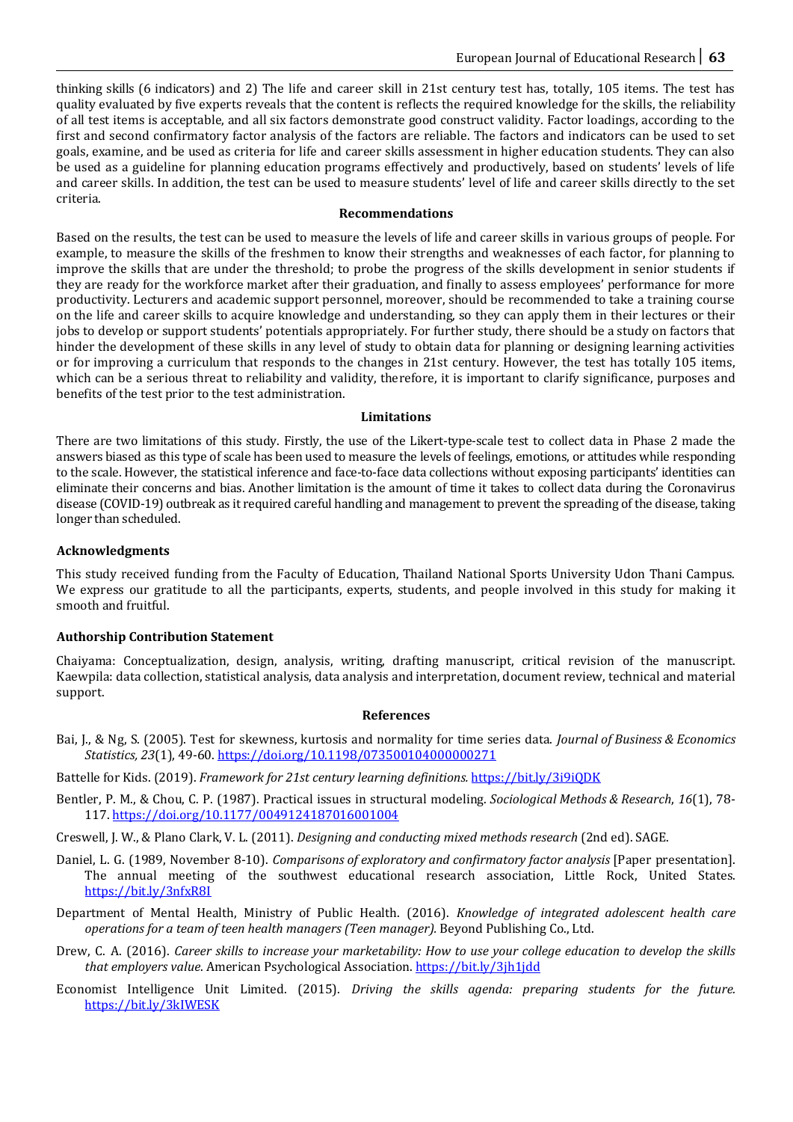thinking skills (6 indicators) and 2) The life and career skill in 21st century test has, totally, 105 items. The test has quality evaluated by five experts reveals that the content is reflects the required knowledge for the skills, the reliability of all test items is acceptable, and all six factors demonstrate good construct validity. Factor loadings, according to the first and second confirmatory factor analysis of the factors are reliable. The factors and indicators can be used to set goals, examine, and be used as criteria for life and career skills assessment in higher education students. They can also be used as a guideline for planning education programs effectively and productively, based on students' levels of life and career skills. In addition, the test can be used to measure students' level of life and career skills directly to the set criteria.

#### **Recommendations**

Based on the results, the test can be used to measure the levels of life and career skills in various groups of people. For example, to measure the skills of the freshmen to know their strengths and weaknesses of each factor, for planning to improve the skills that are under the threshold; to probe the progress of the skills development in senior students if they are ready for the workforce market after their graduation, and finally to assess employees' performance for more productivity. Lecturers and academic support personnel, moreover, should be recommended to take a training course on the life and career skills to acquire knowledge and understanding, so they can apply them in their lectures or their jobs to develop or support students' potentials appropriately. For further study, there should be a study on factors that hinder the development of these skills in any level of study to obtain data for planning or designing learning activities or for improving a curriculum that responds to the changes in 21st century. However, the test has totally 105 items, which can be a serious threat to reliability and validity, therefore, it is important to clarify significance, purposes and benefits of the test prior to the test administration.

#### **Limitations**

There are two limitations of this study. Firstly, the use of the Likert-type-scale test to collect data in Phase 2 made the answers biased as this type of scale has been used to measure the levels of feelings, emotions, or attitudes while responding to the scale. However, the statistical inference and face-to-face data collections without exposing participants' identities can eliminate their concerns and bias. Another limitation is the amount of time it takes to collect data during the Coronavirus disease (COVID-19) outbreak as it required careful handling and management to prevent the spreading of the disease, taking longer than scheduled.

#### **Acknowledgments**

This study received funding from the Faculty of Education, Thailand National Sports University Udon Thani Campus. We express our gratitude to all the participants, experts, students, and people involved in this study for making it smooth and fruitful.

#### **Authorship Contribution Statement**

Chaiyama: Conceptualization, design, analysis, writing, drafting manuscript, critical revision of the manuscript. Kaewpila: data collection, statistical analysis, data analysis and interpretation, document review, technical and material support.

#### **References**

- Bai, J., & Ng, S. (2005). Test for skewness, kurtosis and normality for time series data. *Journal of Business & Economics Statistics, 23*(1), 49-60[. https://doi.org/10.1198/073500104000000271](https://doi.org/10.1198/073500104000000271)
- Battelle for Kids. (2019). *Framework for 21st century learning definitions.* <https://bit.ly/3i9iQDK>
- Bentler, P. M., & Chou, C. P. (1987). Practical issues in structural modeling. *Sociological Methods & Research*, *16*(1), 78- 117[. https://doi.org/10.1177/0049124187016001004](https://doi.org/10.1177/0049124187016001004)

Creswell, J. W., & Plano Clark, V. L. (2011). *Designing and conducting mixed methods research* (2nd ed). SAGE.

- Daniel, L. G. (1989, November 8-10). *Comparisons of exploratory and confirmatory factor analysis* [Paper presentation]. The annual meeting of the southwest educational research association, Little Rock, United States. <https://bit.ly/3nfxR8I>
- Department of Mental Health, Ministry of Public Health. (2016). *Knowledge of integrated adolescent health care operations for a team of teen health managers (Teen manager).* Beyond Publishing Co., Ltd.
- Drew, C. A. (2016). *Career skills to increase your marketability: How to use your college education to develop the skills that employers value*. American Psychological Association. <https://bit.ly/3jh1jdd>
- Economist Intelligence Unit Limited. (2015). *Driving the skills agenda: preparing students for the future.* <https://bit.ly/3kIWESK>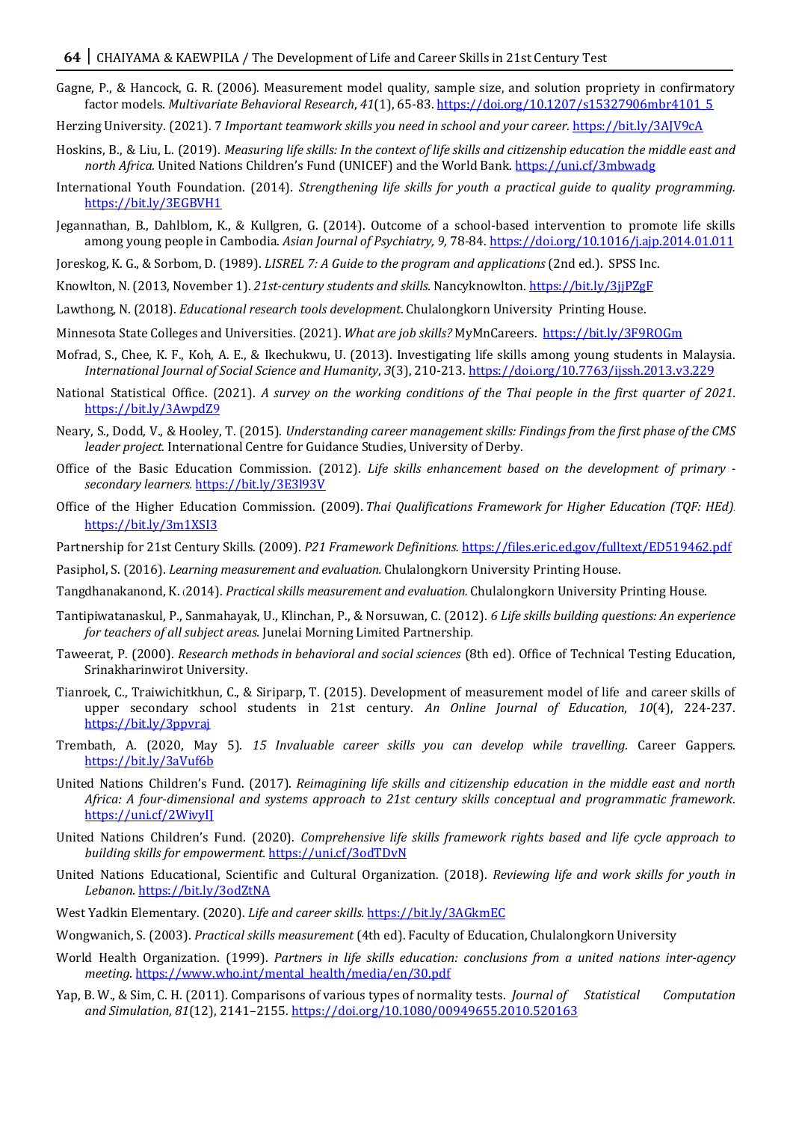- Gagne, P., & Hancock, G. R. (2006). Measurement model quality, sample size, and solution propriety in confirmatory factor models. *Multivariate Behavioral Research*, *41*(1), 65-83. [https://doi.org/10.1207/s15327906mbr4101\\_5](https://doi.org/10.1207/s15327906mbr4101_5)
- Herzing University. (2021). 7 *Important teamwork skills you need in school and your career.* <https://bit.ly/3AJV9cA>
- Hoskins, B., & Liu, L. (2019). *Measuring life skills: In the context of life skills and citizenship education the middle east and north Africa.* United Nations Children's Fund (UNICEF) and the World Bank.<https://uni.cf/3mbwadg>
- International Youth Foundation. (2014). *Strengthening life skills for youth a practical guide to quality programming.* <https://bit.ly/3EGBVH1>
- Jegannathan, B., Dahlblom, K., & Kullgren, G. (2014). Outcome of a school-based intervention to promote life skills among young people in Cambodia. *Asian Journal of Psychiatry, 9,* 78-84.<https://doi.org/10.1016/j.ajp.2014.01.011>
- Joreskog, K. G., & Sorbom, D. (1989). *LISREL 7: A Guide to the program and applications* (2nd ed.). SPSS Inc.
- Knowlton, N. (2013, November 1). *21st-century students and skills.* Nancyknowlton. <https://bit.ly/3jjPZgF>
- Lawthong, N. (2018). *Educational research tools development*. Chulalongkorn University Printing House.
- Minnesota State Colleges and Universities. (2021). *What are job skills?* MyMnCareers. <https://bit.ly/3F9ROGm>
- Mofrad, S., Chee, K. F., Koh, A. E., & Ikechukwu, U. (2013). Investigating life skills among young students in Malaysia. *International Journal of Social Science and Humanity*, *3*(3), 210-213. <https://doi.org/10.7763/ijssh.2013.v3.229>
- National Statistical Office. (2021). *A survey on the working conditions of the Thai people in the first quarter of 2021.*  [https://bit.ly/](https://bit.ly/3AwpdZ9)3AwpdZ[9](https://bit.ly/3AwpdZ9)
- Neary, S., Dodd, V., & Hooley, T. (2015). *Understanding career management skills: Findings from the first phase of the CMS leader project.* International Centre for Guidance Studies, University of Derby.
- Office of the Basic Education Commission. (2012). *Life skills enhancement based on the development of primary secondary learners.* <https://bit.ly/3E3l93V>
- Office of the Higher Education Commission. (2009). *Thai Qualifications Framework for Higher Education (TQF: HEd).*  <https://bit.ly/3m1XSI3>
- Partnership for 21st Century Skills. (2009). *P21 Framework Definitions.* <https://files.eric.ed.gov/fulltext/ED519462.pdf>
- Pasiphol, S. (2016). *Learning measurement and evaluation.* Chulalongkorn University Printing House.
- Tangdhanakanond, K. (2014). *Practical skills measurement and evaluation.* Chulalongkorn University Printing House.
- Tantipiwatanaskul, P., Sanmahayak, U., Klinchan, P., & Norsuwan, C. (2012). *6 Life skills building questions: An experience for teachers of all subject areas.* Junelai Morning Limited Partnership*.*
- Taweerat, P. (2000). *Research methods in behavioral and social sciences* (8th ed). Office of Technical Testing Education, Srinakharinwirot University.
- Tianroek, C., Traiwichitkhun, C., & Siriparp, T. (2015). Development of measurement model of life and career skills of upper secondary school students in 21st century. *An Online Journal of Education*, *10*(4), 224-237. <https://bit.ly/3ppvraj>
- Trembath, A. (2020, May 5). *15 Invaluable career skills you can develop while travelling.* Career Gappers. <https://bit.ly/3aVuf6b>
- United Nations Children's Fund. (2017). *Reimagining life skills and citizenship education in the middle east and north Africa: A four-dimensional and systems approach to 21st century skills conceptual and programmatic framework*. <https://uni.cf/2WivyIJ>
- United Nations Children's Fund. (2020). *Comprehensive life skills framework rights based and life cycle approach to building skills for empowerment.* <https://uni.cf/3odTDvN>
- United Nations Educational, Scientific and Cultural Organization. (2018). *Reviewing life and work skills for youth in Lebanon.* <https://bit.ly/3odZtNA>
- West Yadkin Elementary. (2020). *Life and career skills.* <https://bit.ly/3AGkmEC>
- Wongwanich, S. (2003). *Practical skills measurement* (4th ed). Faculty of Education, Chulalongkorn University
- World Health Organization. (1999). *Partners in life skills education: conclusions from a united nations inter-agency meeting*. [https://www.who.int/mental\\_health/media/en/30.pdf](https://www.who.int/mental_health/media/en/30.pdf)
- Yap, B. W., & Sim, C. H. (2011). Comparisons of various types of normality tests. *Journal of Statistical Computation and Simulation, 81*(12), 2141–2155[. https://doi.org/10.1080/00949655.2010.520163](https://doi.org/10.1080/00949655.2010.520163)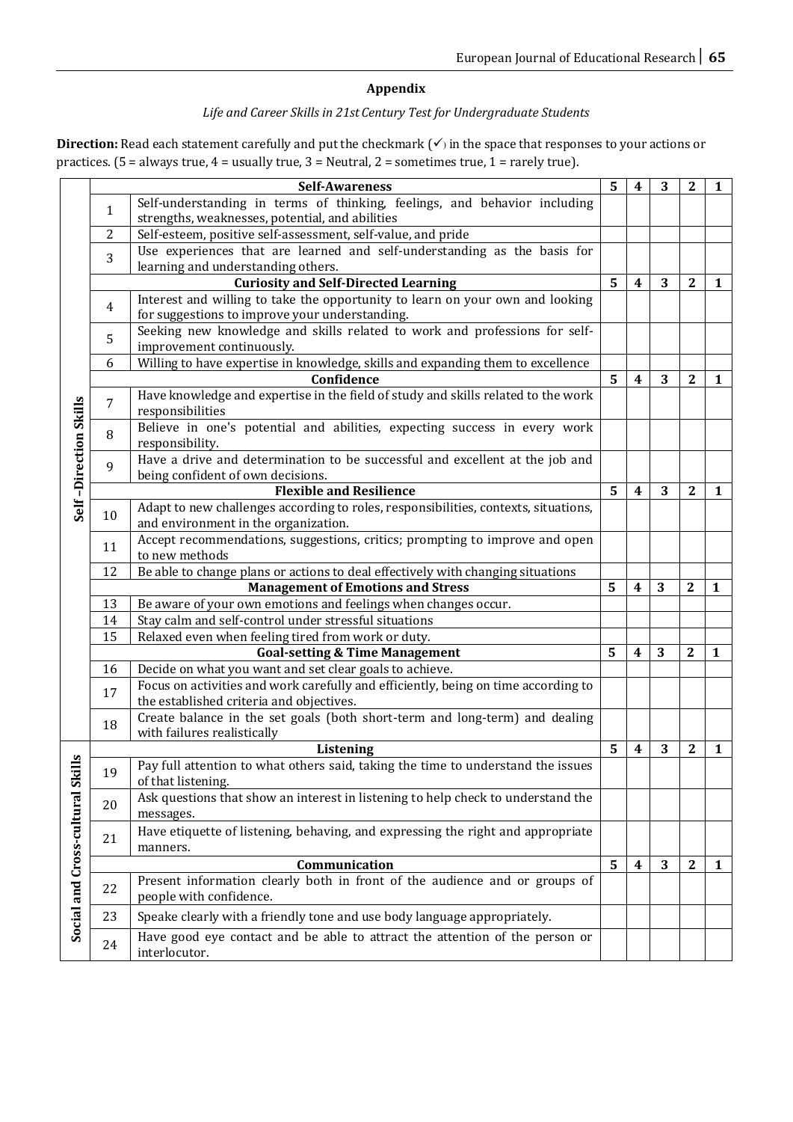### **Appendix**

# *Life and Career Skills in 21st Century Test for Undergraduate Students*

Direction: Read each statement carefully and put the checkmark (√) in the space that responses to your actions or practices. (5 = always true, 4 = usually true, 3 = Neutral, 2 = sometimes true, 1 = rarely true).

|                               |    | <b>Self-Awareness</b>                                                                                                        | 5 | 4                       | 3 | 2                | 1            |
|-------------------------------|----|------------------------------------------------------------------------------------------------------------------------------|---|-------------------------|---|------------------|--------------|
|                               | 1  | Self-understanding in terms of thinking, feelings, and behavior including                                                    |   |                         |   |                  |              |
|                               |    | strengths, weaknesses, potential, and abilities                                                                              |   |                         |   |                  |              |
|                               | 2  | Self-esteem, positive self-assessment, self-value, and pride                                                                 |   |                         |   |                  |              |
|                               | 3  | Use experiences that are learned and self-understanding as the basis for                                                     |   |                         |   |                  |              |
|                               |    | learning and understanding others.                                                                                           | 5 | $\overline{\mathbf{4}}$ | 3 | $\mathbf{2}$     |              |
|                               |    | <b>Curiosity and Self-Directed Learning</b><br>Interest and willing to take the opportunity to learn on your own and looking |   |                         |   |                  | 1            |
|                               | 4  | for suggestions to improve your understanding.                                                                               |   |                         |   |                  |              |
|                               |    | Seeking new knowledge and skills related to work and professions for self-                                                   |   |                         |   |                  |              |
|                               | 5  | improvement continuously.                                                                                                    |   |                         |   |                  |              |
|                               | 6  |                                                                                                                              |   |                         |   |                  |              |
| Self-Direction Skills         |    | Willing to have expertise in knowledge, skills and expanding them to excellence<br>Confidence                                | 5 | $\overline{\mathbf{4}}$ | 3 | $\mathbf{2}$     | 1            |
|                               |    | Have knowledge and expertise in the field of study and skills related to the work                                            |   |                         |   |                  |              |
|                               | 7  | responsibilities                                                                                                             |   |                         |   |                  |              |
|                               | 8  | Believe in one's potential and abilities, expecting success in every work                                                    |   |                         |   |                  |              |
|                               |    | responsibility.                                                                                                              |   |                         |   |                  |              |
|                               | 9  | Have a drive and determination to be successful and excellent at the job and                                                 |   |                         |   |                  |              |
|                               |    | being confident of own decisions.                                                                                            |   |                         |   |                  |              |
|                               |    | <b>Flexible and Resilience</b>                                                                                               | 5 | $\boldsymbol{4}$        | 3 | $\boldsymbol{2}$ | 1            |
|                               | 10 | Adapt to new challenges according to roles, responsibilities, contexts, situations,                                          |   |                         |   |                  |              |
|                               |    | and environment in the organization.                                                                                         |   |                         |   |                  |              |
|                               | 11 | Accept recommendations, suggestions, critics; prompting to improve and open<br>to new methods                                |   |                         |   |                  |              |
|                               | 12 | Be able to change plans or actions to deal effectively with changing situations                                              |   |                         |   |                  |              |
|                               |    | 5                                                                                                                            | 4 | 3                       | 2 | 1                |              |
|                               | 13 | <b>Management of Emotions and Stress</b><br>Be aware of your own emotions and feelings when changes occur.                   |   |                         |   |                  |              |
|                               | 14 | Stay calm and self-control under stressful situations                                                                        |   |                         |   |                  |              |
|                               | 15 | Relaxed even when feeling tired from work or duty.                                                                           |   |                         |   |                  |              |
|                               |    | <b>Goal-setting &amp; Time Management</b>                                                                                    | 5 | 4                       | 3 | $\mathbf{2}$     | 1            |
|                               | 16 | Decide on what you want and set clear goals to achieve.                                                                      |   |                         |   |                  |              |
|                               |    | Focus on activities and work carefully and efficiently, being on time according to                                           |   |                         |   |                  |              |
|                               | 17 | the established criteria and objectives.                                                                                     |   |                         |   |                  |              |
|                               | 18 | Create balance in the set goals (both short-term and long-term) and dealing                                                  |   |                         |   |                  |              |
|                               |    | with failures realistically                                                                                                  |   |                         |   |                  |              |
|                               |    | Listening                                                                                                                    | 5 | $\boldsymbol{4}$        | 3 | $\boldsymbol{2}$ | $\mathbf{1}$ |
| ≝                             | 19 | Pay full attention to what others said, taking the time to understand the issues                                             |   |                         |   |                  |              |
|                               |    | of that listening.                                                                                                           |   |                         |   |                  |              |
|                               | 20 | Ask questions that show an interest in listening to help check to understand the                                             |   |                         |   |                  |              |
|                               |    | messages.                                                                                                                    |   |                         |   |                  |              |
|                               | 21 | Have etiquette of listening, behaving, and expressing the right and appropriate                                              |   |                         |   |                  |              |
|                               |    | manners.<br>Communication                                                                                                    |   |                         |   |                  |              |
|                               |    | Present information clearly both in front of the audience and or groups of                                                   | 5 | 4                       | 3 | $\boldsymbol{2}$ | $\mathbf{1}$ |
| Social and Cross-cultural Ski | 22 | people with confidence.                                                                                                      |   |                         |   |                  |              |
|                               | 23 | Speake clearly with a friendly tone and use body language appropriately.                                                     |   |                         |   |                  |              |
|                               | 24 | Have good eye contact and be able to attract the attention of the person or                                                  |   |                         |   |                  |              |
|                               |    | interlocutor.                                                                                                                |   |                         |   |                  |              |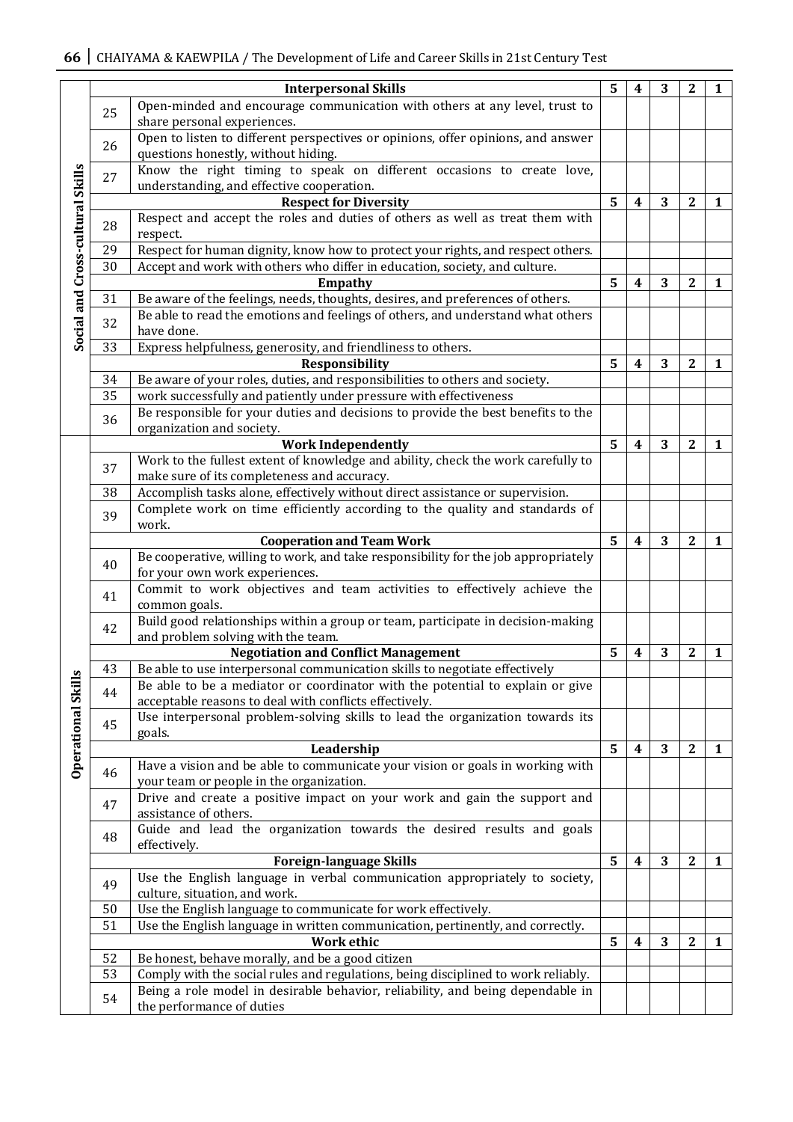|                                  |    | <b>Interpersonal Skills</b>                                                                                             | 5              | 4                       | 3 | 2                | 1            |
|----------------------------------|----|-------------------------------------------------------------------------------------------------------------------------|----------------|-------------------------|---|------------------|--------------|
|                                  | 25 | Open-minded and encourage communication with others at any level, trust to<br>share personal experiences.               |                |                         |   |                  |              |
|                                  | 26 | Open to listen to different perspectives or opinions, offer opinions, and answer<br>questions honestly, without hiding. |                |                         |   |                  |              |
|                                  | 27 | Know the right timing to speak on different occasions to create love,<br>understanding, and effective cooperation.      |                |                         |   |                  |              |
|                                  |    | <b>Respect for Diversity</b>                                                                                            | 5              | 4                       | 3 | $\mathbf{2}$     | 1            |
|                                  | 28 | Respect and accept the roles and duties of others as well as treat them with<br>respect.                                |                |                         |   |                  |              |
|                                  | 29 | Respect for human dignity, know how to protect your rights, and respect others.                                         |                |                         |   |                  |              |
|                                  | 30 | Accept and work with others who differ in education, society, and culture.                                              |                |                         |   |                  |              |
|                                  |    | <b>Empathy</b>                                                                                                          | 5              | 4                       | 3 | $\boldsymbol{2}$ | 1            |
|                                  | 31 | Be aware of the feelings, needs, thoughts, desires, and preferences of others.                                          |                |                         |   |                  |              |
| Social and Cross-cultural Skills | 32 | Be able to read the emotions and feelings of others, and understand what others<br>have done.                           |                |                         |   |                  |              |
|                                  | 33 | Express helpfulness, generosity, and friendliness to others.                                                            |                |                         |   |                  |              |
|                                  |    | Responsibility                                                                                                          | 5              | $\boldsymbol{4}$        | 3 | $\mathbf{2}$     | $\mathbf{1}$ |
|                                  | 34 | Be aware of your roles, duties, and responsibilities to others and society.                                             |                |                         |   |                  |              |
|                                  | 35 | work successfully and patiently under pressure with effectiveness                                                       |                |                         |   |                  |              |
|                                  |    | Be responsible for your duties and decisions to provide the best benefits to the                                        |                |                         |   |                  |              |
|                                  | 36 | organization and society.                                                                                               |                |                         |   |                  |              |
|                                  |    | <b>Work Independently</b>                                                                                               | $5^{\circ}$    | $\boldsymbol{4}$        | 3 | $\mathbf{2}$     | $\mathbf{1}$ |
|                                  |    | Work to the fullest extent of knowledge and ability, check the work carefully to                                        |                |                         |   |                  |              |
|                                  | 37 | make sure of its completeness and accuracy.                                                                             |                |                         |   |                  |              |
|                                  | 38 | Accomplish tasks alone, effectively without direct assistance or supervision.                                           |                |                         |   |                  |              |
|                                  |    | Complete work on time efficiently according to the quality and standards of                                             |                |                         |   |                  |              |
|                                  | 39 | work.                                                                                                                   |                |                         |   |                  |              |
|                                  |    | <b>Cooperation and Team Work</b>                                                                                        | 5              | $\overline{\mathbf{4}}$ | 3 | $\mathbf{2}$     | $\mathbf{1}$ |
|                                  |    | Be cooperative, willing to work, and take responsibility for the job appropriately                                      |                |                         |   |                  |              |
|                                  | 40 | for your own work experiences.                                                                                          |                |                         |   |                  |              |
|                                  | 41 | Commit to work objectives and team activities to effectively achieve the                                                |                |                         |   |                  |              |
|                                  |    | common goals.                                                                                                           |                |                         |   |                  |              |
|                                  | 42 | Build good relationships within a group or team, participate in decision-making                                         |                |                         |   |                  |              |
|                                  |    | and problem solving with the team.                                                                                      |                |                         |   |                  |              |
|                                  |    | <b>Negotiation and Conflict Management</b>                                                                              | 5              | 4                       | 3 | $\boldsymbol{2}$ | 1            |
|                                  | 43 | Be able to use interpersonal communication skills to negotiate effectively                                              |                |                         |   |                  |              |
|                                  |    | Be able to be a mediator or coordinator with the potential to explain or give                                           |                |                         |   |                  |              |
|                                  | 44 | acceptable reasons to deal with conflicts effectively.                                                                  |                |                         |   |                  |              |
| <b>Operational Skills</b>        | 45 | Use interpersonal problem-solving skills to lead the organization towards its<br>goals.                                 |                |                         |   |                  |              |
|                                  |    | Leadership                                                                                                              | $5\phantom{a}$ | $\boldsymbol{4}$        | 3 | $\mathbf{2}$     | $\mathbf{1}$ |
|                                  | 46 | Have a vision and be able to communicate your vision or goals in working with                                           |                |                         |   |                  |              |
|                                  | 47 | your team or people in the organization.<br>Drive and create a positive impact on your work and gain the support and    |                |                         |   |                  |              |
|                                  |    | assistance of others.<br>Guide and lead the organization towards the desired results and goals                          |                |                         |   |                  |              |
|                                  | 48 | effectively.                                                                                                            |                |                         |   |                  |              |
|                                  |    | <b>Foreign-language Skills</b>                                                                                          | 5              | $\overline{\mathbf{4}}$ | 3 | $\mathbf{2}$     | $\mathbf{1}$ |
|                                  | 49 | Use the English language in verbal communication appropriately to society,<br>culture, situation, and work.             |                |                         |   |                  |              |
|                                  | 50 | Use the English language to communicate for work effectively.                                                           |                |                         |   |                  |              |
|                                  | 51 | Use the English language in written communication, pertinently, and correctly.                                          |                |                         |   |                  |              |
|                                  |    | <b>Work ethic</b>                                                                                                       | 5              | $\overline{\mathbf{4}}$ | 3 | $\mathbf{2}$     | $\mathbf{1}$ |
|                                  | 52 | Be honest, behave morally, and be a good citizen                                                                        |                |                         |   |                  |              |
|                                  | 53 | Comply with the social rules and regulations, being disciplined to work reliably.                                       |                |                         |   |                  |              |
|                                  | 54 | Being a role model in desirable behavior, reliability, and being dependable in                                          |                |                         |   |                  |              |
|                                  |    | the performance of duties                                                                                               |                |                         |   |                  |              |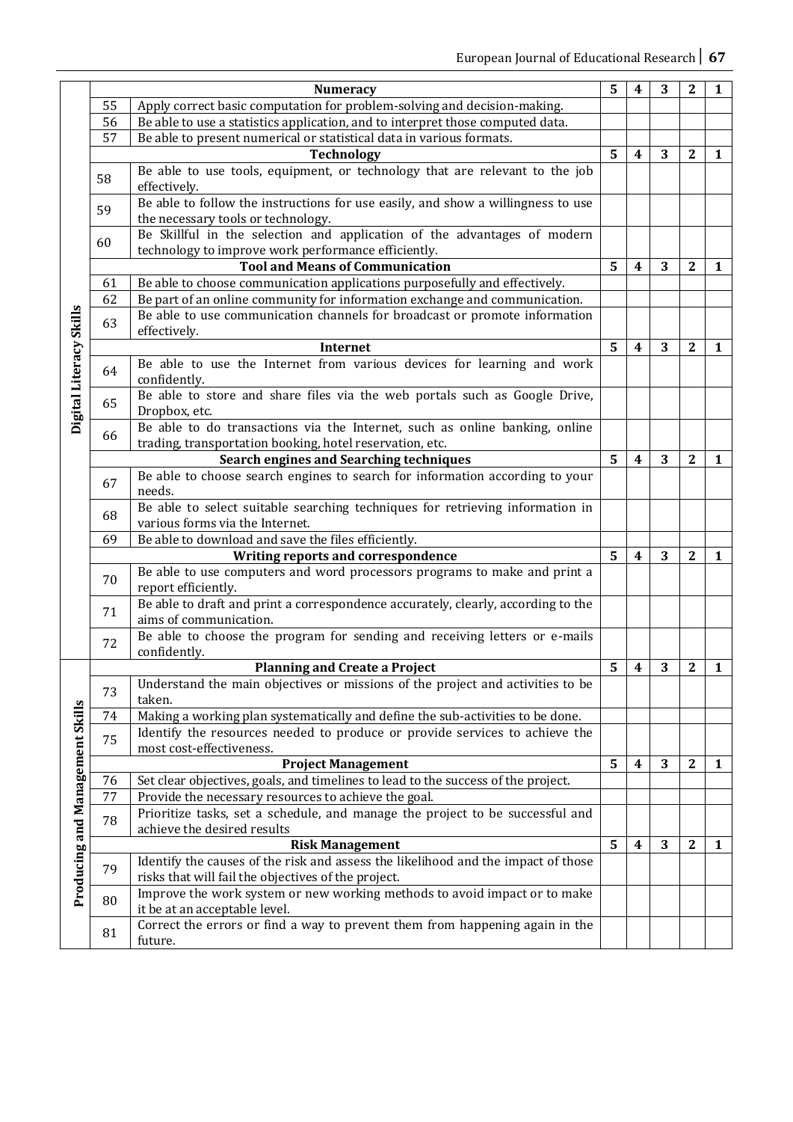|                                        |                                                                                      | <b>Numeracy</b>                                                                                                                                          | 5 | 4                       | 3 | 2                | 1            |
|----------------------------------------|--------------------------------------------------------------------------------------|----------------------------------------------------------------------------------------------------------------------------------------------------------|---|-------------------------|---|------------------|--------------|
|                                        |                                                                                      |                                                                                                                                                          |   |                         |   |                  |              |
|                                        | 55                                                                                   | Apply correct basic computation for problem-solving and decision-making.                                                                                 |   |                         |   |                  |              |
|                                        | 56                                                                                   | Be able to use a statistics application, and to interpret those computed data.                                                                           |   |                         |   |                  |              |
|                                        | 57                                                                                   | Be able to present numerical or statistical data in various formats.                                                                                     |   |                         |   |                  |              |
|                                        |                                                                                      | <b>Technology</b>                                                                                                                                        | 5 | $\boldsymbol{4}$        | 3 | $\mathbf{2}$     | 1            |
|                                        | 58                                                                                   | Be able to use tools, equipment, or technology that are relevant to the job                                                                              |   |                         |   |                  |              |
|                                        |                                                                                      | effectively.                                                                                                                                             |   |                         |   |                  |              |
|                                        | 59                                                                                   | Be able to follow the instructions for use easily, and show a willingness to use                                                                         |   |                         |   |                  |              |
|                                        |                                                                                      | the necessary tools or technology.                                                                                                                       |   |                         |   |                  |              |
|                                        | 60                                                                                   | Be Skillful in the selection and application of the advantages of modern                                                                                 |   |                         |   |                  |              |
|                                        | technology to improve work performance efficiently.                                  |                                                                                                                                                          |   |                         |   |                  |              |
|                                        |                                                                                      | <b>Tool and Means of Communication</b>                                                                                                                   | 5 | $\overline{\mathbf{4}}$ | 3 | $\mathbf{2}$     | 1            |
|                                        | 61                                                                                   | Be able to choose communication applications purposefully and effectively.<br>Be part of an online community for information exchange and communication. |   |                         |   |                  |              |
|                                        | 62                                                                                   |                                                                                                                                                          |   |                         |   |                  |              |
|                                        | 63                                                                                   | Be able to use communication channels for broadcast or promote information                                                                               |   |                         |   |                  |              |
|                                        |                                                                                      | effectively.                                                                                                                                             | 5 |                         |   |                  |              |
|                                        |                                                                                      | Internet                                                                                                                                                 |   |                         |   | $\mathbf{2}$     | 1            |
|                                        | 64                                                                                   | Be able to use the Internet from various devices for learning and work                                                                                   |   |                         |   |                  |              |
|                                        |                                                                                      | confidently.                                                                                                                                             |   |                         |   |                  |              |
| Digital Literacy Skills                | Be able to store and share files via the web portals such as Google Drive,<br>65     |                                                                                                                                                          |   |                         |   |                  |              |
|                                        |                                                                                      | Dropbox, etc.                                                                                                                                            |   |                         |   |                  |              |
|                                        | 66                                                                                   | Be able to do transactions via the Internet, such as online banking, online                                                                              |   |                         |   |                  |              |
|                                        | trading, transportation booking, hotel reservation, etc.                             |                                                                                                                                                          |   |                         |   |                  |              |
|                                        |                                                                                      | 5<br><b>Search engines and Searching techniques</b>                                                                                                      |   | $\boldsymbol{4}$        | 3 | $\mathbf{2}$     | 1            |
|                                        |                                                                                      | Be able to choose search engines to search for information according to your                                                                             |   |                         |   |                  |              |
|                                        | 67                                                                                   | needs.                                                                                                                                                   |   |                         |   |                  |              |
|                                        |                                                                                      | Be able to select suitable searching techniques for retrieving information in                                                                            |   |                         |   |                  |              |
|                                        | 68                                                                                   | various forms via the Internet.                                                                                                                          |   |                         |   |                  |              |
|                                        | 69                                                                                   | Be able to download and save the files efficiently.                                                                                                      |   |                         |   |                  |              |
|                                        |                                                                                      | Writing reports and correspondence                                                                                                                       | 5 | $\overline{\mathbf{4}}$ | 3 | $\overline{2}$   | 1            |
|                                        | 70                                                                                   | Be able to use computers and word processors programs to make and print a                                                                                |   |                         |   |                  |              |
|                                        |                                                                                      | report efficiently.                                                                                                                                      |   |                         |   |                  |              |
|                                        | 71                                                                                   | Be able to draft and print a correspondence accurately, clearly, according to the                                                                        |   |                         |   |                  |              |
|                                        |                                                                                      | aims of communication.                                                                                                                                   |   |                         |   |                  |              |
|                                        |                                                                                      | Be able to choose the program for sending and receiving letters or e-mails                                                                               |   |                         |   |                  |              |
|                                        | 72<br>confidently.                                                                   |                                                                                                                                                          |   |                         |   |                  |              |
|                                        |                                                                                      | <b>Planning and Create a Project</b>                                                                                                                     | 5 | $\overline{\mathbf{4}}$ | 3 | $\boldsymbol{2}$ | 1            |
|                                        | Understand the main objectives or missions of the project and activities to be<br>73 |                                                                                                                                                          |   |                         |   |                  |              |
|                                        |                                                                                      | taken.                                                                                                                                                   |   |                         |   |                  |              |
|                                        | 74                                                                                   | Making a working plan systematically and define the sub-activities to be done.                                                                           |   |                         |   |                  |              |
|                                        | 75                                                                                   | Identify the resources needed to produce or provide services to achieve the                                                                              |   |                         |   |                  |              |
|                                        |                                                                                      | most cost-effectiveness.                                                                                                                                 |   |                         |   |                  |              |
|                                        |                                                                                      | <b>Project Management</b>                                                                                                                                | 5 | $\boldsymbol{4}$        | 3 | $\mathbf{2}$     | 1            |
|                                        | 76                                                                                   | Set clear objectives, goals, and timelines to lead to the success of the project.                                                                        |   |                         |   |                  |              |
|                                        | 77                                                                                   | Provide the necessary resources to achieve the goal.                                                                                                     |   |                         |   |                  |              |
|                                        | 78                                                                                   | Prioritize tasks, set a schedule, and manage the project to be successful and                                                                            |   |                         |   |                  |              |
|                                        |                                                                                      | achieve the desired results                                                                                                                              |   |                         |   |                  |              |
|                                        |                                                                                      | <b>Risk Management</b>                                                                                                                                   | 5 | $\boldsymbol{4}$        | 3 | $\boldsymbol{2}$ | $\mathbf{1}$ |
|                                        | 79                                                                                   | Identify the causes of the risk and assess the likelihood and the impact of those                                                                        |   |                         |   |                  |              |
| <b>Producing and Management Skills</b> |                                                                                      | risks that will fail the objectives of the project.                                                                                                      |   |                         |   |                  |              |
|                                        | 80                                                                                   | Improve the work system or new working methods to avoid impact or to make                                                                                |   |                         |   |                  |              |
|                                        |                                                                                      | it be at an acceptable level.                                                                                                                            |   |                         |   |                  |              |
|                                        | 81                                                                                   | Correct the errors or find a way to prevent them from happening again in the                                                                             |   |                         |   |                  |              |
|                                        |                                                                                      | future.                                                                                                                                                  |   |                         |   |                  |              |